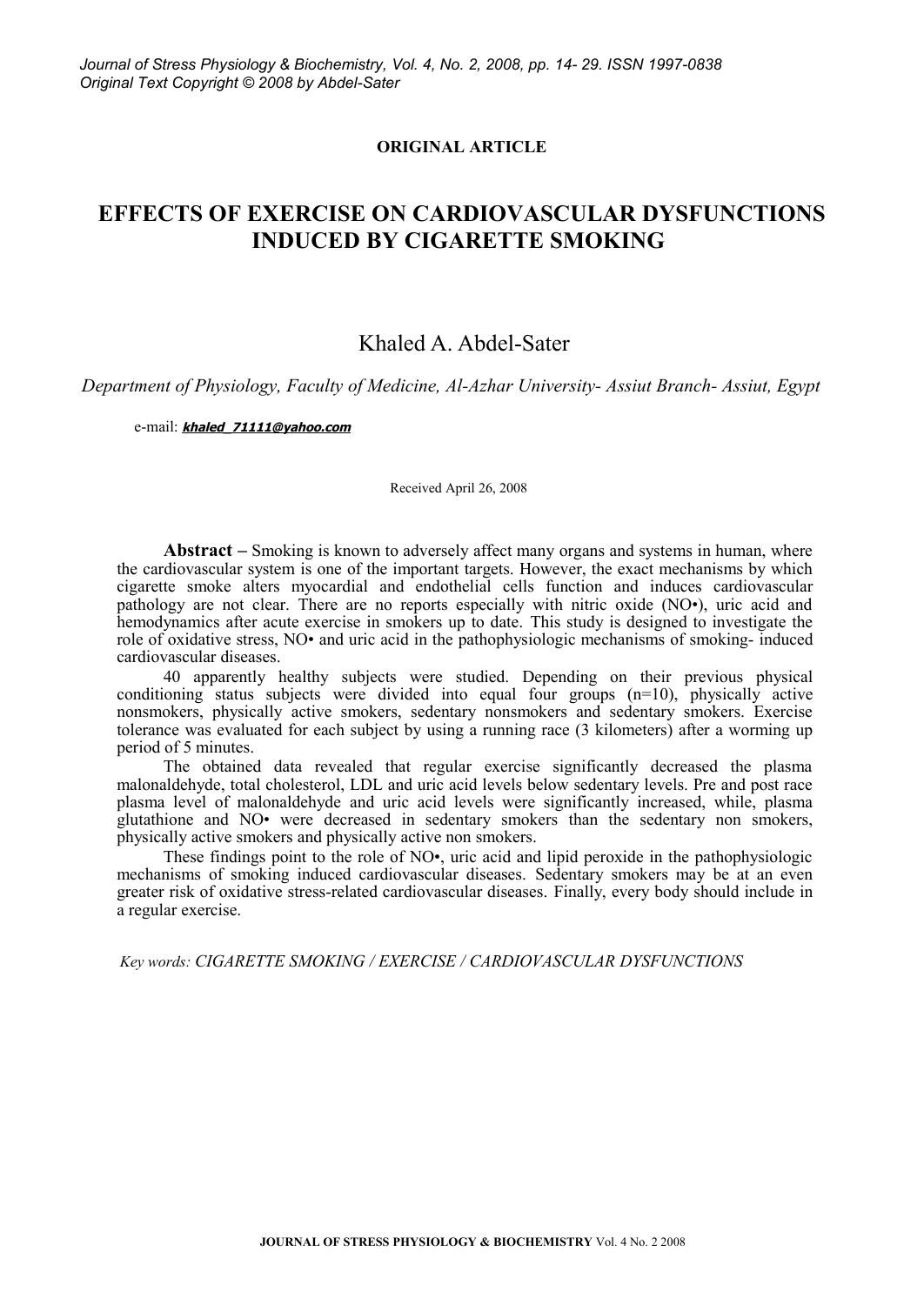#### **ORIGINAL ARTICLE**

## **EFFECTS OF EXERCISE ON CARDIOVASCULAR DYSFUNCTIONS INDUCED BY CIGARETTE SMOKING**

## Khaled A. Abdel-Sater

*Department of Physiology, Faculty of Medicine, Al-Azhar University- Assiut Branch- Assiut, Egypt*

e-mail: **[khaled\\_71111@yahoo.com](mailto:khaled_71111@yahoo.com)**

Received April 26, 2008

**Abstract –** Smoking is known to adversely affect many organs and systems in human, where the cardiovascular system is one of the important targets. However, the exact mechanisms by which cigarette smoke alters myocardial and endothelial cells function and induces cardiovascular pathology are not clear. There are no reports especially with nitric oxide (NO•), uric acid and hemodynamics after acute exercise in smokers up to date. This study is designed to investigate the role of oxidative stress, NO• and uric acid in the pathophysiologic mechanisms of smoking- induced cardiovascular diseases.

40 apparently healthy subjects were studied. Depending on their previous physical conditioning status subjects were divided into equal four groups  $(n=10)$ , physically active nonsmokers, physically active smokers, sedentary nonsmokers and sedentary smokers. Exercise tolerance was evaluated for each subject by using a running race (3 kilometers) after a worming up period of 5 minutes.

The obtained data revealed that regular exercise significantly decreased the plasma malonaldehyde, total cholesterol, LDL and uric acid levels below sedentary levels. Pre and post race plasma level of malonaldehyde and uric acid levels were significantly increased, while, plasma glutathione and NO• were decreased in sedentary smokers than the sedentary non smokers, physically active smokers and physically active non smokers.

These findings point to the role of NO•, uric acid and lipid peroxide in the pathophysiologic mechanisms of smoking induced cardiovascular diseases. Sedentary smokers may be at an even greater risk of oxidative stress-related cardiovascular diseases. Finally, every body should include in a regular exercise.

*Key words: CIGARETTE SMOKING / EXERCISE / CARDIOVASCULAR DYSFUNCTIONS*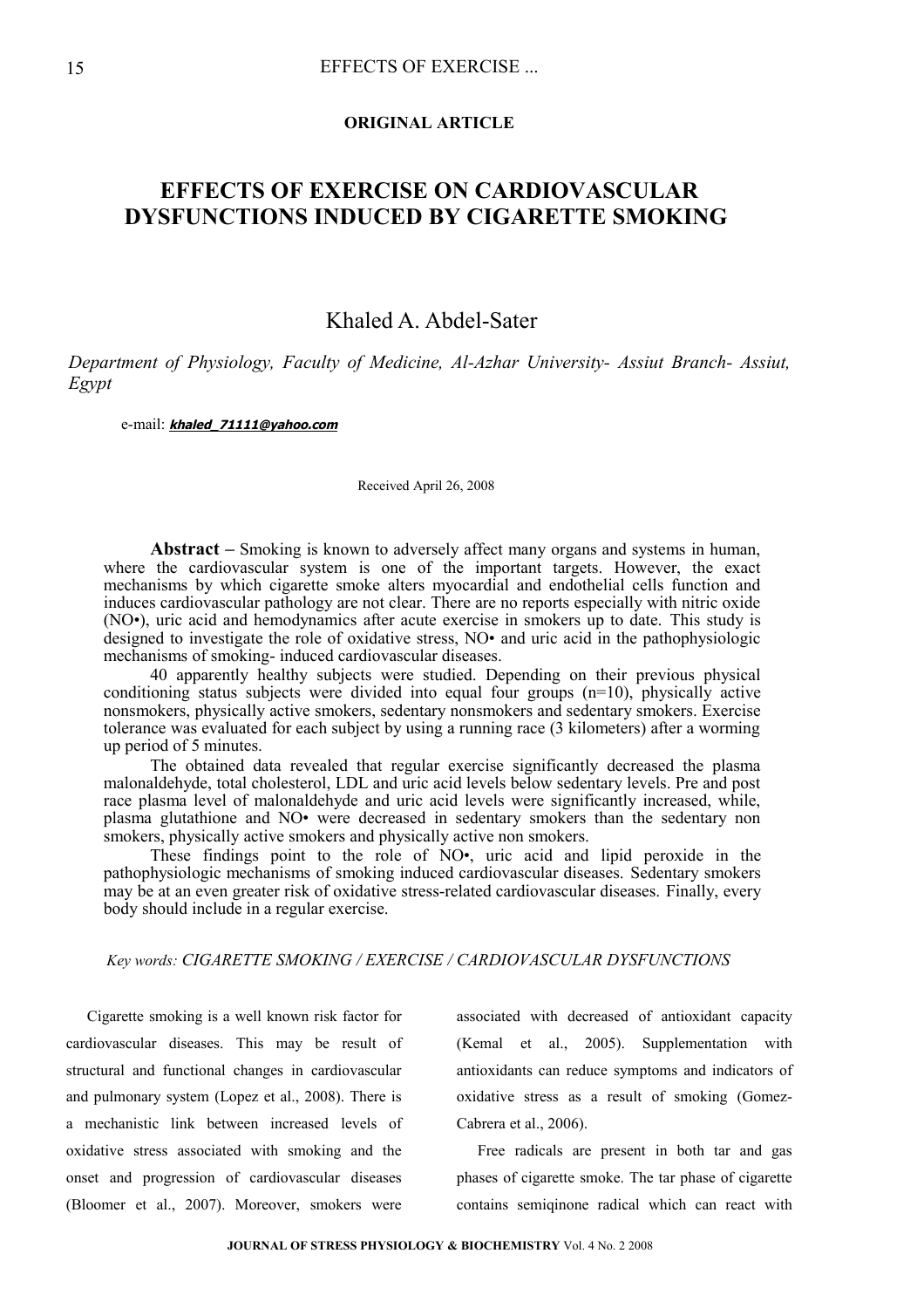#### **ORIGINAL ARTICLE**

# **EFFECTS OF EXERCISE ON CARDIOVASCULAR DYSFUNCTIONS INDUCED BY CIGARETTE SMOKING**

## Khaled A. Abdel-Sater

*Department of Physiology, Faculty of Medicine, Al-Azhar University- Assiut Branch- Assiut, Egypt*

e-mail: **[khaled\\_71111@yahoo.com](mailto:khaled_71111@yahoo.com)**

Received April 26, 2008

**Abstract –** Smoking is known to adversely affect many organs and systems in human, where the cardiovascular system is one of the important targets. However, the exact mechanisms by which cigarette smoke alters myocardial and endothelial cells function and induces cardiovascular pathology are not clear. There are no reports especially with nitric oxide (NO•), uric acid and hemodynamics after acute exercise in smokers up to date. This study is designed to investigate the role of oxidative stress, NO• and uric acid in the pathophysiologic mechanisms of smoking- induced cardiovascular diseases.

40 apparently healthy subjects were studied. Depending on their previous physical conditioning status subjects were divided into equal four groups  $(n=10)$ , physically active nonsmokers, physically active smokers, sedentary nonsmokers and sedentary smokers. Exercise tolerance was evaluated for each subject by using a running race (3 kilometers) after a worming up period of 5 minutes.

The obtained data revealed that regular exercise significantly decreased the plasma malonaldehyde, total cholesterol, LDL and uric acid levels below sedentary levels. Pre and post race plasma level of malonaldehyde and uric acid levels were significantly increased, while, plasma glutathione and NO• were decreased in sedentary smokers than the sedentary non smokers, physically active smokers and physically active non smokers.

These findings point to the role of NO•, uric acid and lipid peroxide in the pathophysiologic mechanisms of smoking induced cardiovascular diseases. Sedentary smokers may be at an even greater risk of oxidative stress-related cardiovascular diseases. Finally, every body should include in a regular exercise.

### *Key words: CIGARETTE SMOKING / EXERCISE / CARDIOVASCULAR DYSFUNCTIONS*

Cigarette smoking is a well known risk factor for cardiovascular diseases. This may be result of structural and functional changes in cardiovascular and pulmonary system (Lopez et al., 2008). There is a mechanistic link between increased levels of oxidative stress associated with smoking and the onset and progression of cardiovascular diseases (Bloomer et al., 2007). Moreover, smokers were

associated with decreased of antioxidant capacity (Kemal et al., 2005). Supplementation with antioxidants can reduce symptoms and indicators of oxidative stress as a result of smoking (Gomez-Cabrera et al., 2006).

Free radicals are present in both tar and gas phases of cigarette smoke. The tar phase of cigarette contains semiqinone radical which can react with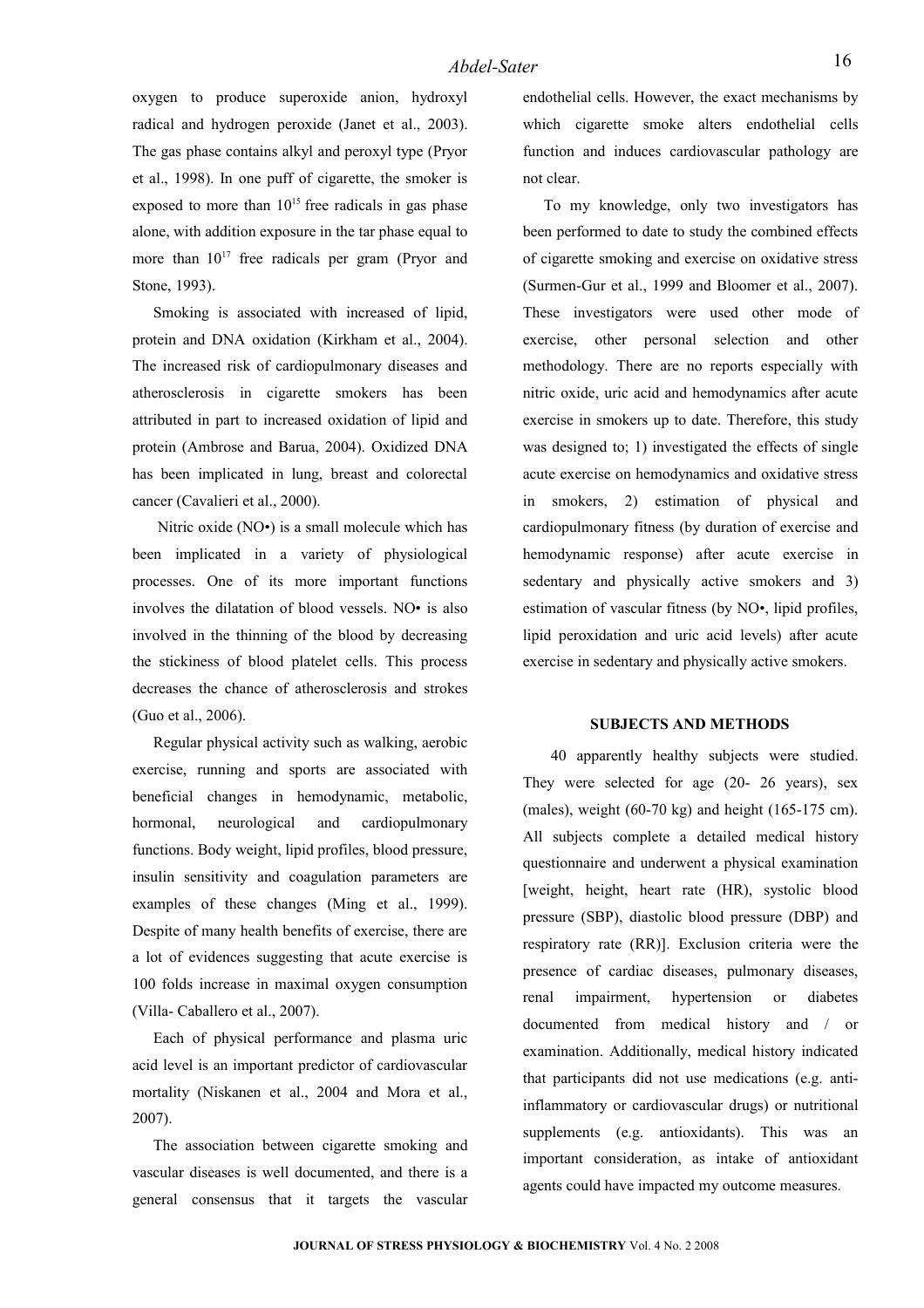oxygen to produce superoxide anion, hydroxyl radical and hydrogen peroxide (Janet et al., 2003). The gas phase contains alkyl and peroxyl type (Pryor et al., 1998). In one puff of cigarette, the smoker is exposed to more than  $10^{15}$  free radicals in gas phase alone, with addition exposure in the tar phase equal to more than  $10^{17}$  free radicals per gram (Pryor and Stone, 1993).

Smoking is associated with increased of lipid, protein and DNA oxidation (Kirkham et al., 2004). The increased risk of cardiopulmonary diseases and atherosclerosis in cigarette smokers has been attributed in part to increased oxidation of lipid and protein (Ambrose and Barua, 2004). Oxidized DNA has been implicated in lung, breast and colorectal cancer (Cavalieri et al., 2000).

Nitric oxide (NO•) is a small molecule which has been implicated in a variety of physiological processes. One of its more important functions involves the dilatation of blood vessels. NO• is also involved in the thinning of the blood by decreasing the stickiness of blood platelet cells. This process decreases the chance of atherosclerosis and strokes (Guo et al., [2006\)](http://ajpheart.physiology.org/cgi/content/full/291/5/H2354?maxtoshow=&HITS=10&hits=10&RESULTFORMAT=1&andorexacttitle=and&titleabstract=smoking++&andorexacttitleabs=and&andorexactfulltext=and&searchid=1&FIRSTINDEX=0&sortspec=relevance&fdate=7/1/1995&tdate=1/31/2007&resourcetype=HWCIT#R27).

Regular physical activity such as walking, aerobic exercise, running and sports are associated with beneficial changes in hemodynamic, metabolic, hormonal, neurological and cardiopulmonary functions. Body weight, lipid profiles, blood pressure, insulin sensitivity and coagulation parameters are examples of these changes (Ming et al., 1999). Despite of many health benefits of exercise, there are a lot of evidences suggesting that acute exercise is 100 folds increase in maximal oxygen consumption (Villa- Caballero et al., 2007).

Each of physical performance and plasma uric acid level is an important predictor of cardiovascular mortality (Niskanen et al., 2004 and Mora et al., 2007).

The association between cigarette smoking and vascular diseases is well documented, and there is a general consensus that it targets the vascular

endothelial cells. However, the exact mechanisms by which cigarette smoke alters endothelial cells function and induces cardiovascular pathology are not clear.

To my knowledge, only two investigators has been performed to date to study the combined effects of cigarette smoking and exercise on oxidative stress (Surmen-Gur et al., 1999 and Bloomer et al., 2007). These investigators were used other mode of exercise, other personal selection and other methodology. There are no reports especially with nitric oxide, uric acid and hemodynamics after acute exercise in smokers up to date. Therefore, this study was designed to; 1) investigated the effects of single acute exercise on hemodynamics and oxidative stress in smokers, 2) estimation of physical and cardiopulmonary fitness (by duration of exercise and hemodynamic response) after acute exercise in sedentary and physically active smokers and 3) estimation of vascular fitness (by NO•, lipid profiles, lipid peroxidation and uric acid levels) after acute exercise in sedentary and physically active smokers.

#### **SUBJECTS AND METHODS**

40 apparently healthy subjects were studied. They were selected for age (20- 26 years), sex (males), weight (60-70 kg) and height (165-175 cm). All subjects complete a detailed medical history questionnaire and underwent a physical examination [weight, height, heart rate (HR), systolic blood pressure (SBP), diastolic blood pressure (DBP) and respiratory rate (RR)]. Exclusion criteria were the presence of cardiac diseases, pulmonary diseases, renal impairment, hypertension or diabetes documented from medical history and / or examination. Additionally, medical history indicated that participants did not use medications (e.g. antiinflammatory or cardiovascular drugs) or nutritional supplements (e.g. antioxidants). This was an important consideration, as intake of antioxidant agents could have impacted my outcome measures.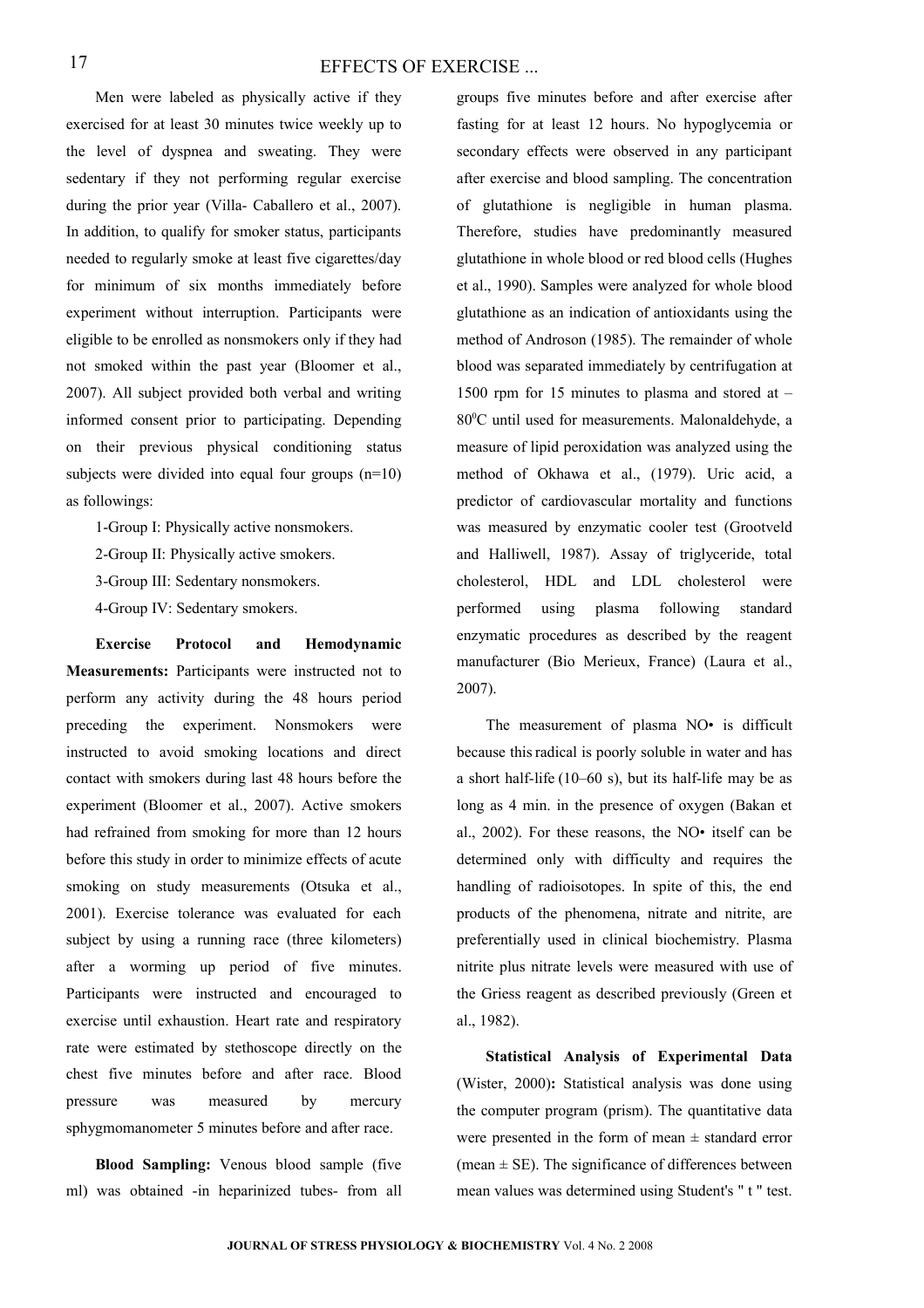#### EFFECTS OF EXERCISE ...

Men were labeled as physically active if they exercised for at least 30 minutes twice weekly up to the level of dyspnea and sweating. They were sedentary if they not performing regular exercise during the prior year (Villa- Caballero et al., 2007). In addition, to qualify for smoker status, participants needed to regularly smoke at least five cigarettes/day for minimum of six months immediately before experiment without interruption. Participants were eligible to be enrolled as nonsmokers only if they had not smoked within the past year (Bloomer et al., 2007). All subject provided both verbal and writing informed consent prior to participating. Depending on their previous physical conditioning status subjects were divided into equal four groups (n=10) as followings:

1-Group I: Physically active nonsmokers.

2-Group II: Physically active smokers.

3-Group III: Sedentary nonsmokers.

4-Group IV: Sedentary smokers.

**Exercise Protocol and Hemodynamic Measurements:** Participants were instructed not to perform any activity during the 48 hours period preceding the experiment. Nonsmokers were instructed to avoid smoking locations and direct contact with smokers during last 48 hours before the experiment (Bloomer et al., 2007). Active smokers had refrained from smoking for more than 12 hours before this study in order to minimize effects of acute smoking on study measurements (Otsuka et al., 2001). Exercise tolerance was evaluated for each subject by using a running race (three kilometers) after a worming up period of five minutes. Participants were instructed and encouraged to exercise until exhaustion. Heart rate and respiratory rate were estimated by stethoscope directly on the chest five minutes before and after race. Blood pressure was measured by mercury sphygmomanometer 5 minutes before and after race.

**Blood Sampling:** Venous blood sample (five ml) was obtained -in heparinized tubes- from all groups five minutes before and after exercise after fasting for at least 12 hours. No hypoglycemia or secondary effects were observed in any participant after exercise and blood sampling. The concentration of glutathione is negligible in human plasma. Therefore, studies have predominantly measured glutathione in whole blood or red blood cells (Hughes et al., 1990). Samples were analyzed for whole blood glutathione as an indication of antioxidants using the method of Androson (1985). The remainder of whole blood was separated immediately by centrifugation at 1500 rpm for 15 minutes to plasma and stored at – 80<sup>o</sup>C until used for measurements. Malonaldehyde, a measure of lipid peroxidation was analyzed using the method of Okhawa et al., (1979). Uric acid, a predictor of cardiovascular mortality and functions was measured by enzymatic cooler test (Grootveld and Halliwell, 1987). Assay of triglyceride, total cholesterol, HDL and LDL cholesterol were performed using plasma following standard enzymatic procedures as described by the reagent manufacturer (Bio Merieux, France) (Laura et al., 2007).

The measurement of plasma NO• is difficult because thisradical is poorly soluble in water and has a short half-life (10–60 s), but its half-life may be as long as 4 min. in the presence of oxygen (Bakan et al., 2002). For these reasons, the NO• itself can be determined only with difficulty and requires the handling of radioisotopes. In spite of this, the end products of the phenomena, nitrate and nitrite, are preferentially used in clinical biochemistry. Plasma nitrite plus nitrate levels were measured with use of the Griess reagent as described previously (Green et al., 1982).

**Statistical Analysis of Experimental Data** (Wister, 2000)**:** Statistical analysis was done using the computer program (prism). The quantitative data were presented in the form of mean  $\pm$  standard error (mean  $\pm$  SE). The significance of differences between mean values was determined using Student's " t " test.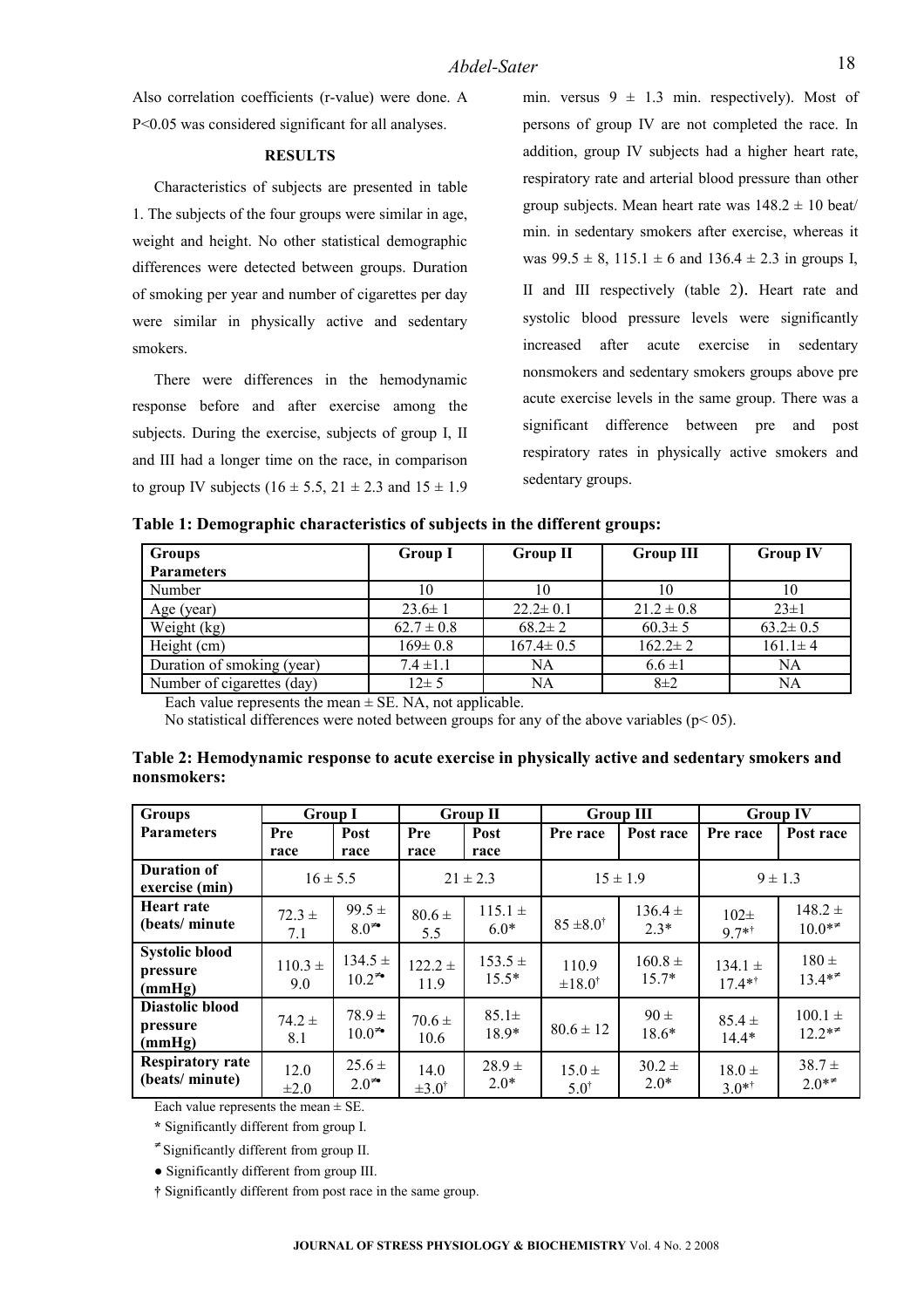Also correlation coefficients (r-value) were done. A P<0.05 was considered significant for all analyses.

#### **RESULTS**

Characteristics of subjects are presented in [table](file:///C:/Downloads/Journal%20StressPhysiol/Articles/2008_26//D:/full%20text/New%20Folder/paper/3D) [1.](file:///C:/Downloads/Journal%20StressPhysiol/Articles/2008_26//D:/full%20text/New%20Folder/paper/3D) The subjects of the four groups were similar in age, weight and height. No other statistical demographic differences were detected between groups. Duration of smoking per year and number of cigarettes per day were similar in physically active and sedentary smokers.

There were differences in the hemodynamic response before and after exercise among the subjects. During the exercise, subjects of group I, II and III had a longer time on the race, in comparison to group IV subjects (16  $\pm$  5.5, 21  $\pm$  2.3 and 15  $\pm$  1.9 min. versus  $9 \pm 1.3$  min. respectively). Most of persons of group IV are not completed the race. In addition, group IV subjects had a higher heart rate, respiratory rate and arterial blood pressure than other group subjects. Mean heart rate was  $148.2 \pm 10$  beat/ min. in sedentary smokers after exercise, whereas it was  $99.5 \pm 8$ ,  $115.1 \pm 6$  and  $136.4 \pm 2.3$  in groups I, II and III respectively [\(table 2](file:///C:/Downloads/Journal%20StressPhysiol/Articles/2008_26//D:/full%20text/New%20Folder/paper/3D)). Heart rate and systolic blood pressure levels were significantly increased after acute exercise in sedentary nonsmokers and sedentary smokers groups above pre acute exercise levels in the same group. There was a significant difference between pre and post respiratory rates in physically active smokers and sedentary groups.

|  | Table 1: Demographic characteristics of subjects in the different groups: |  |  |
|--|---------------------------------------------------------------------------|--|--|
|  |                                                                           |  |  |

| <b>Groups</b>              | <b>Group I</b> | <b>Group II</b> | <b>Group III</b> | <b>Group IV</b> |
|----------------------------|----------------|-----------------|------------------|-----------------|
| <b>Parameters</b>          |                |                 |                  |                 |
| Number                     | 10             | 10              | 10               | 10              |
| Age (year)                 | $23.6 \pm 1$   | $22.2 \pm 0.1$  | $21.2 \pm 0.8$   | $23 \pm 1$      |
| Weight (kg)                | $62.7 \pm 0.8$ | $68.2 \pm 2$    | $60.3 \pm 5$     | $63.2 \pm 0.5$  |
| Height (cm)                | $169 \pm 0.8$  | $167.4 \pm 0.5$ | $162.2 \pm 2$    | $161.1 \pm 4$   |
| Duration of smoking (year) | $7.4 \pm 1.1$  | NA              | $6.6 \pm 1$      | <b>NA</b>       |
| Number of cigarettes (day) | $12 \pm 5$     | NA              | $8\pm2$          | NA              |

Each value represents the mean  $\pm$  SE. NA, not applicable.

No statistical differences were noted between groups for any of the above variables (p< 05).

| Table 2: Hemodynamic response to acute exercise in physically active and sedentary smokers and |
|------------------------------------------------------------------------------------------------|
| nonsmokers:                                                                                    |
|                                                                                                |

| <b>Groups</b>                                          | <b>Group I</b>                    |                            | <b>Group II</b>             |                        | <b>Group III</b>              |                        | <b>Group IV</b>         |                       |
|--------------------------------------------------------|-----------------------------------|----------------------------|-----------------------------|------------------------|-------------------------------|------------------------|-------------------------|-----------------------|
| <b>Parameters</b>                                      | Pre                               | Post                       | Pre                         | Post                   | Pre race                      | Post race              | Pre race                | Post race             |
|                                                        | race                              | race                       | race                        | race                   |                               |                        |                         |                       |
| <b>Duration of</b><br>exercise (min)                   | $16 \pm 5.5$                      |                            | $21 \pm 2.3$                |                        | $15 \pm 1.9$                  |                        | $9 \pm 1.3$             |                       |
| <b>Heart rate</b><br>(beats/minute)                    | $72.3 +$<br>7.1                   | $99.5 \pm$<br>$8.0^{4}$    | $80.6 \pm$<br>5.5           | $115.1 \pm$<br>$6.0*$  | $85 \pm 8.0^{\dagger}$        | $136.4 \pm$<br>$2.3*$  | $102\pm$<br>$9.7**$     | $148.2 +$<br>$10.0**$ |
| <b>Systolic blood</b><br>pressure<br>(mmHg)            | $110.3 \pm$<br>9.0                | $134.5 \pm$<br>$10.2^{**}$ | $122.2 \pm$<br>11.9         | $153.5 \pm$<br>$15.5*$ | 110.9<br>$\pm 18.0^{\dagger}$ | $160.8 \pm$<br>$15.7*$ | $134.1 \pm$<br>$17.4**$ | $180 \pm$<br>$13.4**$ |
| Diastolic blood<br>pressure<br>(mmHg)                  | $74.2 \pm$<br>8.1                 | $78.9 \pm$<br>$10.0^{+}$   | $70.6 \pm$<br>10.6          | $85.1\pm$<br>$18.9*$   | $80.6 \pm 12$                 | $90 \pm$<br>$18.6*$    | $85.4 \pm$<br>$14.4*$   | $100.1 =$<br>$12.2**$ |
| <b>Respiratory rate</b><br>(beats/minute)<br>$-1$ $-1$ | 12.0<br>$\pm 2.0$<br>$\sim$ $  +$ | $25.6 \pm$<br>$2.0^{+}$    | 14.0<br>$\pm 3.0^{\dagger}$ | $28.9 +$<br>$2.0*$     | $15.0 \pm$<br>$5.0^{\dagger}$ | $30.2 \pm$<br>$2.0*$   | $18.0 \pm$<br>$3.0**$   | $38.7 +$<br>$2.0**$   |

Each value represents the mean  $\pm$  SE.

**\*** Significantly different from group I.

≠ Significantly different from group II.

**●** Significantly different from group III.

**†** Significantly different from post race in the same group.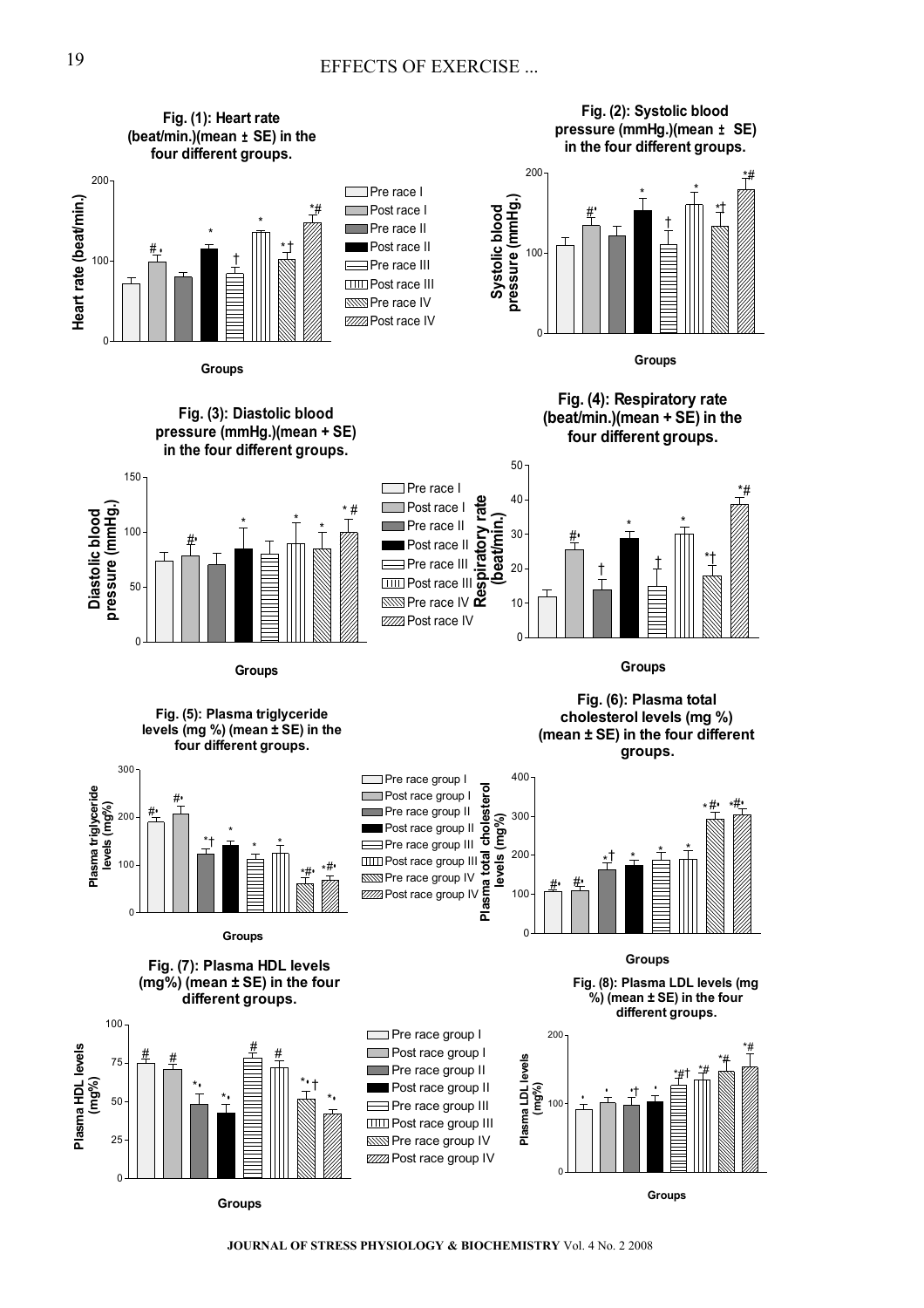

**JOURNAL OF STRESS PHYSIOLOGY & BIOCHEMISTRY** Vol. 4 No. 2 2008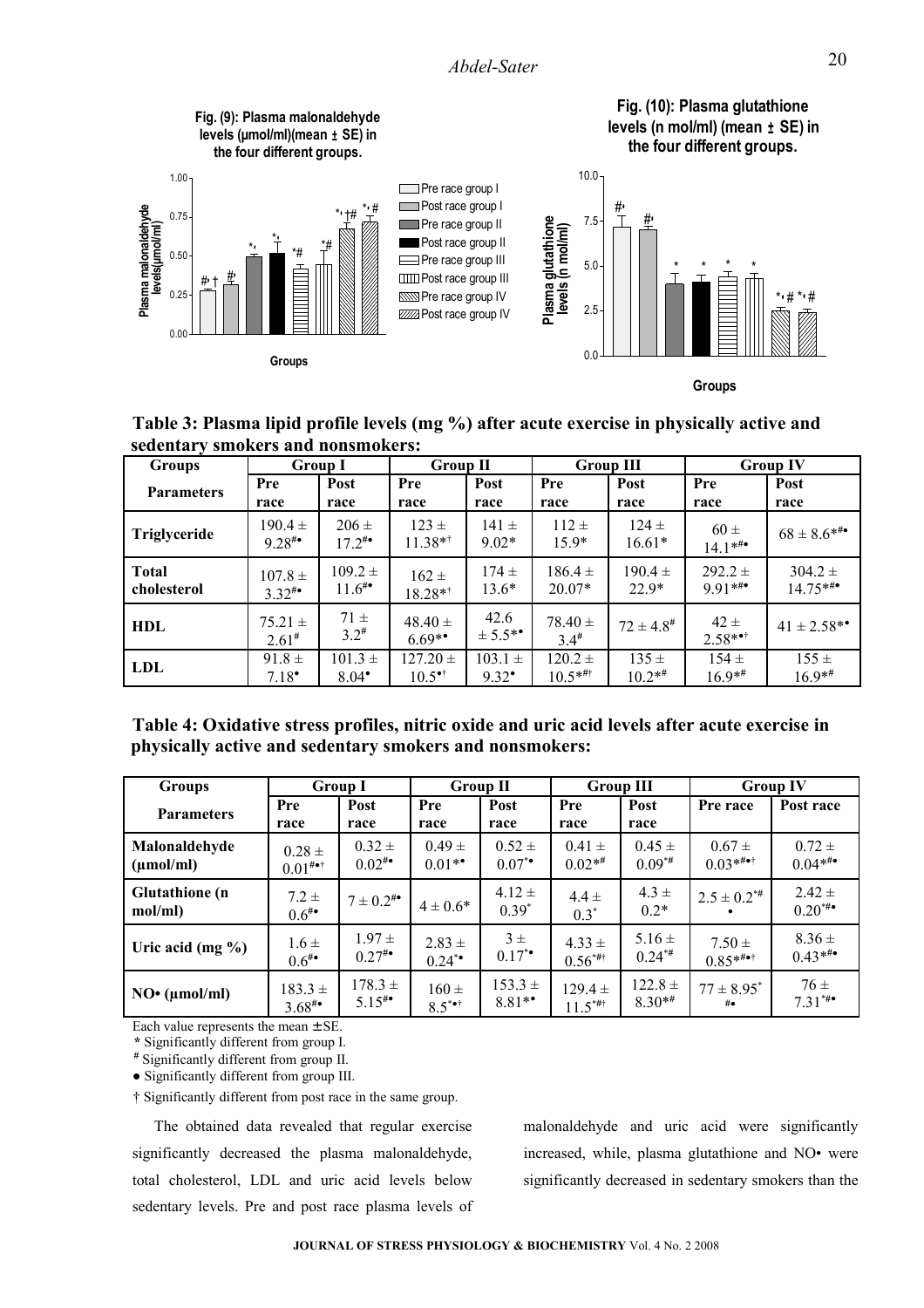

**Table 3: Plasma lipid profile levels (mg %) after acute exercise in physically active and sedentary smokers and nonsmokers:**

| <b>Groups</b>     | <b>Group I</b>             |                         | <b>Group II</b>         |                                 | <b>Group III</b>         |                       | <b>Group IV</b>       |                              |
|-------------------|----------------------------|-------------------------|-------------------------|---------------------------------|--------------------------|-----------------------|-----------------------|------------------------------|
| <b>Parameters</b> | Pre                        | Post                    | Pre                     | Post                            | Pre                      | Post                  | Pre                   | Post                         |
|                   | race                       | race                    | race                    | race                            | race                     | race                  | race                  | race                         |
| Triglyceride      | $190.4 \pm$<br>$9.28^{40}$ | $206 \pm$<br>$17.2^{#}$ | $123 \pm$<br>$11.38**$  | $141 \pm$<br>$9.02*$            | $112 \pm$<br>$15.9*$     | $124 \pm$<br>$16.61*$ | $60 \pm$<br>$14.1***$ | $68 \pm 8.6$ * <sup>**</sup> |
| <b>Total</b>      | $107.8 \pm$                | $109.2 \pm$             | $162 \pm$               | $174 \pm$                       | $186.4 \pm$              | $190.4 \pm$           | $292.2 +$             | $304.2 \pm$                  |
| cholesterol       | $3.32^{**}$                | $11.6^{*}$              | $18.28**$               | $13.6*$                         | $20.07*$                 | $22.9*$               | $9.91***$             | $14.75***$                   |
| <b>HDL</b>        | $75.21 \pm$<br>$2.61*$     | $71 \pm$<br>$3.2^{*}$   | $48.40 \pm$<br>$6.69**$ | 42.6<br>$\pm$ 5.5 <sup>**</sup> | $78.40 \pm$<br>$3.4^{#}$ | $72 \pm 4.8^{\#}$     | $42 \pm$<br>$2.58**$  | $41 \pm 2.58$ **             |
| <b>LDL</b>        | $91.8 \pm$                 | $101.3 \pm$             | $127.20 \pm$            | $103.1 \pm$                     | $120.2 \pm$              | $135 \pm$             | $154 \pm$             | $155 \pm$                    |
|                   | $7.18^{\circ}$             | $8.04^{\bullet}$        | $10.5$ <sup>*†</sup>    | $9.32^{\bullet}$                | $10.5***$                | $10.2**$              | $16.9**$              | $16.9**$                     |

| Table 4: Oxidative stress profiles, nitric oxide and uric acid levels after acute exercise in |  |
|-----------------------------------------------------------------------------------------------|--|
| physically active and sedentary smokers and nonsmokers:                                       |  |

| <b>Groups</b>                    | <b>Group I</b>          |                 | <b>Group II</b>              |                       | <b>Group III</b>    |                     | <b>Group IV</b>      |                           |
|----------------------------------|-------------------------|-----------------|------------------------------|-----------------------|---------------------|---------------------|----------------------|---------------------------|
| <b>Parameters</b>                | Pre<br>race             | Post<br>race    | Pre<br>race                  | Post<br>race          | Pre<br>race         | Post<br>race        | Pre race             | Post race                 |
| Malonaldehyde                    | $0.28 \pm$              | $0.32 \pm$      | $0.49 \pm$                   | $0.52 \pm$            | $0.41 \pm$          | $0.45 \pm$          | $0.67 \pm$           | $0.72 \pm$                |
| $(\mu \text{mol/ml})$            | $0.01^{# \bullet \dag}$ | $0.02^{**}$     | $0.01**$                     | $0.07^{*}$            | $0.02**$            | $0.09**$            | $0.03***$            | $0.04***$                 |
| <b>Glutathione</b> (n<br>mol/ml) | $7.2 \pm$<br>$0.6^{**}$ | $7 \pm 0.2^{*}$ | $4 \pm 0.6*$                 | $4.12 \pm$<br>$0.39*$ | $4.4 \pm$<br>$0.3*$ | $4.3 \pm$<br>$0.2*$ | $2.5 \pm 0.2^{* \#}$ | $2.42 \pm$<br>$0.20^{**}$ |
| Uric acid (mg $\%$ )             | $1.6 \pm$               | $1.97 \pm$      | $2.83 +$                     | $3\pm$                | $4.33 \pm$          | $5.16 \pm$          | $7.50 \pm$           | $8.36 \pm$                |
|                                  | $0.6^{**}$              | $0.27^{**}$     | $0.24$ *                     | $0.17^{*}$            | $0.56^{***}$        | $0.24**$            | $0.85***$            | $0.43***$                 |
| NO <sup>•</sup> (µmol/ml)        | $183.3 \pm$             | $178.3 \pm$     | $160 \pm$                    | $153.3 \pm$           | $129.4 \pm$         | $122.8 \pm$         | $77 \pm 8.95^*$      | $76 \pm$                  |
|                                  | $3.68^{*}$              | $5.15^{4}$      | $8.5^{\bullet \bullet \dag}$ | $8.81**$              | $11.5***$           | $8.30**$            | # $\bullet$          | $7.31***$                 |

Each value represents the mean  $\pm$  SE.

**\*** Significantly different from group I.

# Significantly different from group II.

**●** Significantly different from group III.

† Significantly different from post race in the same group.

The obtained data revealed that regular exercise significantly decreased the plasma malonaldehyde, total cholesterol, LDL and uric acid levels below sedentary levels. Pre and post race plasma levels of malonaldehyde and uric acid were significantly increased, while, plasma glutathione and NO• were significantly decreased in sedentary smokers than the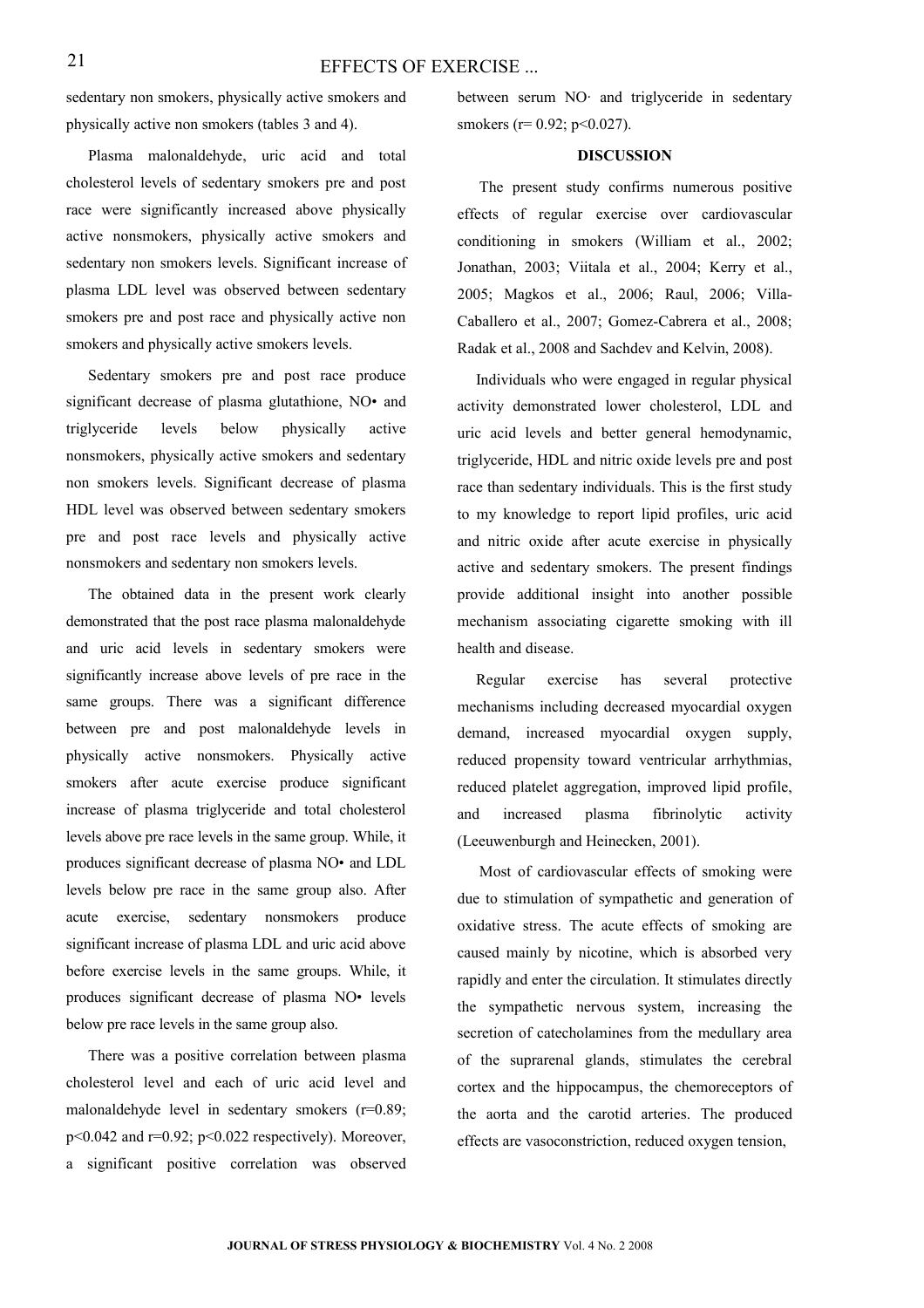sedentary non smokers, physically active smokers and physically active non smokers (tables 3 and 4).

Plasma malonaldehyde, uric acid and total cholesterol levels of sedentary smokers pre and post race were significantly increased above physically active nonsmokers, physically active smokers and sedentary non smokers levels. Significant increase of plasma LDL level was observed between sedentary smokers pre and post race and physically active non smokers and physically active smokers levels.

Sedentary smokers pre and post race produce significant decrease of plasma glutathione, NO• and triglyceride levels below physically active nonsmokers, physically active smokers and sedentary non smokers levels. Significant decrease of plasma HDL level was observed between sedentary smokers pre and post race levels and physically active nonsmokers and sedentary non smokers levels.

The obtained data in the present work clearly demonstrated that the post race plasma malonaldehyde and uric acid levels in sedentary smokers were significantly increase above levels of pre race in the same groups. There was a significant difference between pre and post malonaldehyde levels in physically active nonsmokers. Physically active smokers after acute exercise produce significant increase of plasma triglyceride and total cholesterol levels above pre race levels in the same group. While, it produces significant decrease of plasma NO• and LDL levels below pre race in the same group also. After acute exercise, sedentary nonsmokers produce significant increase of plasma LDL and uric acid above before exercise levels in the same groups. While, it produces significant decrease of plasma NO• levels below pre race levels in the same group also.

There was a positive correlation between plasma cholesterol level and each of uric acid level and malonaldehyde level in sedentary smokers (r=0.89;  $p<0.042$  and  $r=0.92$ ;  $p<0.022$  respectively). Moreover, a significant positive correlation was observed

between serum NO· and triglyceride in sedentary smokers ( $r= 0.92$ ;  $p<0.027$ ).

#### **DISCUSSION**

The present study confirms numerous positive effects of regular exercise over cardiovascular conditioning in smokers (William et al., 2002; Jonathan, 2003; Viitala et al., 2004; Kerry et al., 2005; Magkos et al., 2006; Raul, 2006; Villa-Caballero et al., 2007; Gomez-Cabrera et al., 2008; [Radak et al., 2008](http://luce.sunymaritime.edu:2078/science?_ob=ArticleURL&_udi=B6X1H-4PB6VRD-2&_user=696742&_coverDate=01%2F31%2F2008&_alid=688073504&_rdoc=1&_fmt=full&_orig=search&_cdi=7243&_sort=d&_docanchor=&view=c&_ct=2&_acct=C000038902&_version=1&_urlVersion=0&_userid=696742&md5=ce3c106124b7c8a8ed1e7543a6d66b82#bib77%23bib77) and Sachdev and Kelvin, 2008).

Individuals who were engaged in regular physical activity demonstrated lower cholesterol, LDL and uric acid levels and better general hemodynamic, triglyceride, HDL and nitric oxide levels pre and post race than sedentary individuals. This is the first study to my knowledge to report lipid profiles, uric acid and nitric oxide after acute exercise in physically active and sedentary smokers. The present findings provide additional insight into another possible mechanism associating cigarette smoking with ill health and disease.

Regular exercise has several protective mechanisms including decreased myocardial oxygen demand, increased myocardial oxygen supply, reduced propensity toward ventricular arrhythmias, reduced platelet aggregation, improved lipid profile, and increased plasma fibrinolytic activity (Leeuwenburgh and Heinecken, 2001).

Most of cardiovascular effects of smoking were due to stimulation of sympathetic and generation of oxidative stress. The acute effects of smoking are caused mainly by nicotine, which is absorbed very rapidly and enter the circulation. It stimulates directly the sympathetic nervous system, increasing the secretion of catecholamines from the medullary area of the suprarenal glands, stimulates the cerebral cortex and the hippocampus, the chemoreceptors of the aorta and the carotid arteries. The produced effects are vasoconstriction, reduced oxygen tension,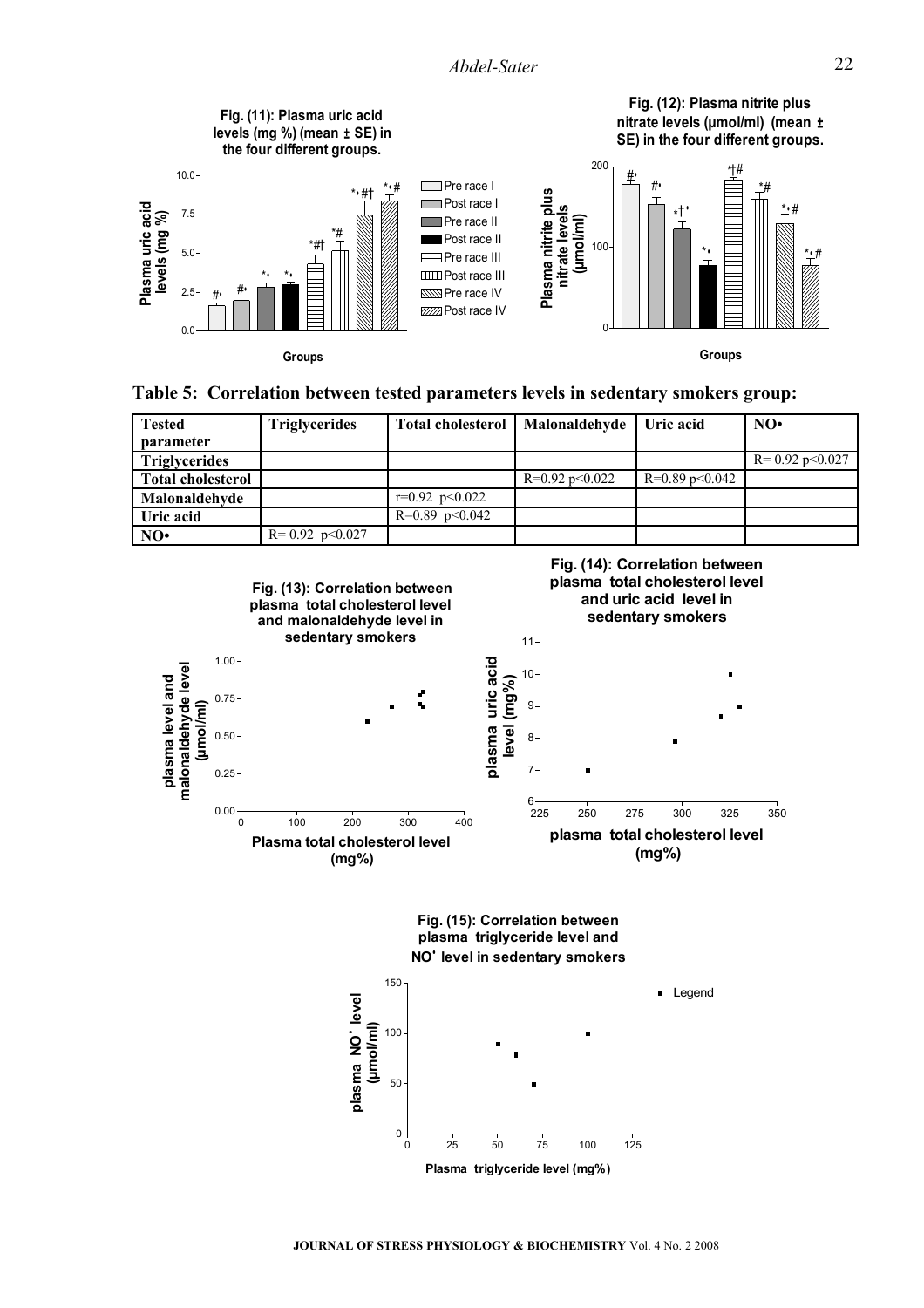

| Table 5: Correlation between tested parameters levels in sedentary smokers group: |  |
|-----------------------------------------------------------------------------------|--|
|-----------------------------------------------------------------------------------|--|

| <b>Tested</b>            | <b>Triglycerides</b> | <b>Total cholesterol</b> | Malonaldehyde        | Uric acid            | NO <sub>•</sub>      |
|--------------------------|----------------------|--------------------------|----------------------|----------------------|----------------------|
| parameter                |                      |                          |                      |                      |                      |
| Triglycerides            |                      |                          |                      |                      | $R = 0.92$ p < 0.027 |
| <b>Total cholesterol</b> |                      |                          | $R=0.92$ p $< 0.022$ | $R=0.89$ p $< 0.042$ |                      |
| Malonaldehyde            |                      | $r=0.92$ $p<0.022$       |                      |                      |                      |
| Uric acid                |                      | $R=0.89$ p<0.042         |                      |                      |                      |
| NO∙                      | $R = 0.92$ p < 0.027 |                          |                      |                      |                      |



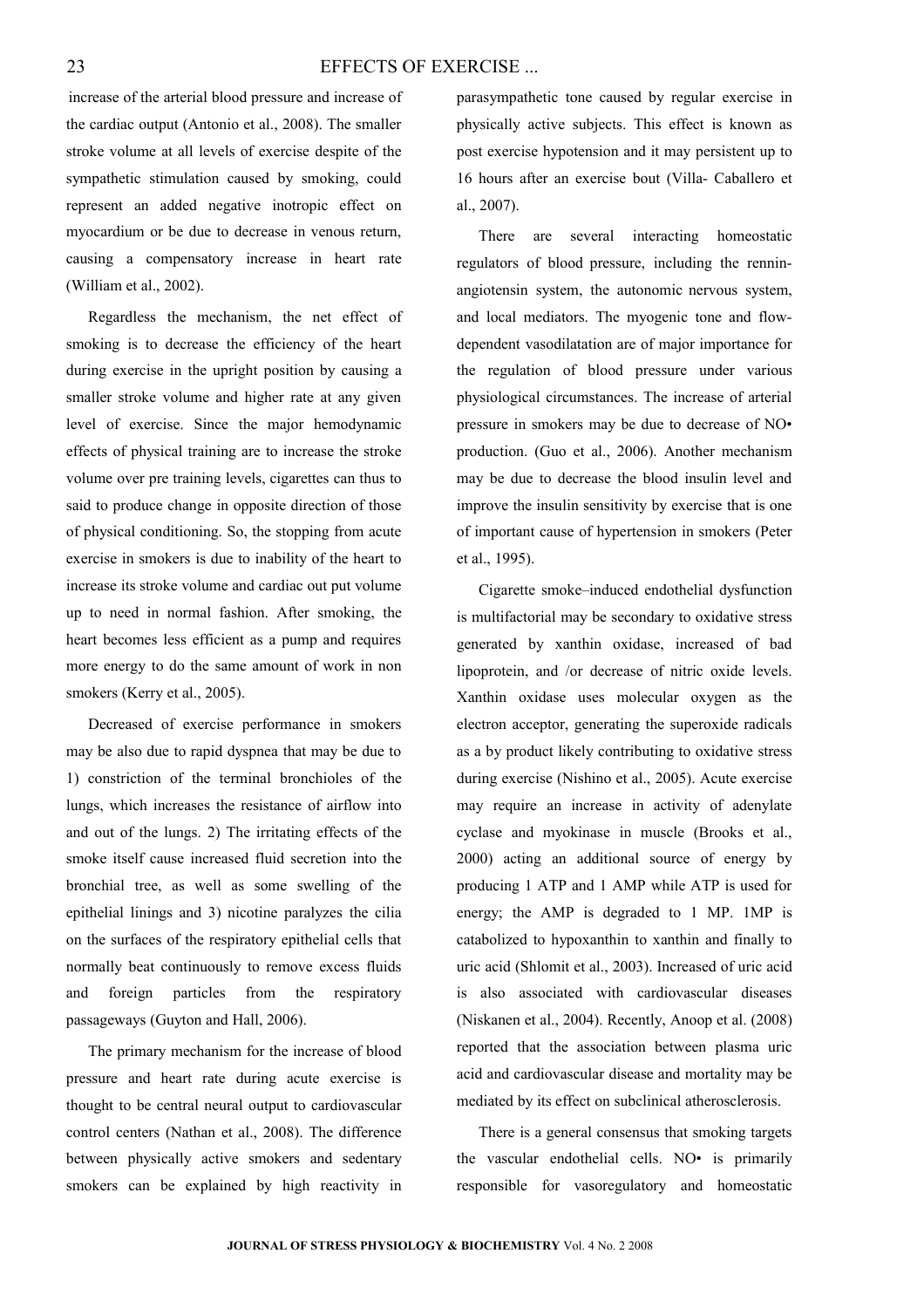#### EFFECTS OF EXERCISE ...

increase of the arterial blood pressure and increase of the cardiac output (Antonio et al., 2008). The smaller stroke volume at all levels of exercise despite of the sympathetic stimulation caused by smoking, could represent an added negative inotropic effect on myocardium or be due to decrease in venous return, causing a compensatory increase in heart rate (William et al., 2002).

Regardless the mechanism, the net effect of smoking is to decrease the efficiency of the heart during exercise in the upright position by causing a smaller stroke volume and higher rate at any given level of exercise. Since the major hemodynamic effects of physical training are to increase the stroke volume over pre training levels, cigarettes can thus to said to produce change in opposite direction of those of physical conditioning. So, the stopping from acute exercise in smokers is due to inability of the heart to increase its stroke volume and cardiac out put volume up to need in normal fashion. After smoking, the heart becomes less efficient as a pump and requires more energy to do the same amount of work in non smokers (Kerry et al., 2005).

Decreased of exercise performance in smokers may be also due to rapid dyspnea that may be due to 1) constriction of the terminal bronchioles of the lungs, which increases the resistance of airflow into and out of the lungs. 2) The irritating effects of the smoke itself cause increased fluid secretion into the bronchial tree, as well as some swelling of the epithelial linings and 3) nicotine paralyzes the cilia on the surfaces of the respiratory epithelial cells that normally beat continuously to remove excess fluids and foreign particles from the respiratory passageways (Guyton and Hall, 2006).

The primary mechanism for the increase of blood pressure and heart rate during acute exercise is thought to be central neural output to cardiovascular control centers (Nathan et al., 2008). The difference between physically active smokers and sedentary smokers can be explained by high reactivity in parasympathetic tone caused by regular exercise in physically active subjects. This effect is known as post exercise hypotension and it may persistent up to 16 hours after an exercise bout (Villa- Caballero et al., 2007).

There are several interacting homeostatic regulators of blood pressure, including the renninangiotensin system, the autonomic nervous system, and local mediators. The myogenic tone and flowdependent vasodilatation are of major importance for the regulation of blood pressure under various physiological circumstances. The increase of arterial pressure in smokers may be due to decrease of NO• production. (Guo et al., [2006\)](http://ajpheart.physiology.org/cgi/content/full/291/5/H2354?maxtoshow=&HITS=10&hits=10&RESULTFORMAT=1&andorexacttitle=and&titleabstract=smoking++&andorexacttitleabs=and&andorexactfulltext=and&searchid=1&FIRSTINDEX=0&sortspec=relevance&fdate=7/1/1995&tdate=1/31/2007&resourcetype=HWCIT#R27). Another mechanism may be due to decrease the blood insulin level and improve the insulin sensitivity by exercise that is one of important cause of hypertension in smokers (Peter et al., 1995).

Cigarette smoke–induced endothelial dysfunction is multifactorial may be secondary to oxidative stress generated by xanthin oxidase, increased of bad lipoprotein, and /or decrease of nitric oxide levels. Xanthin oxidase uses molecular oxygen as the electron acceptor, generating the superoxide radicals as a by product likely contributing to oxidative stress during exercise (Nishino et al., 2005). Acute exercise may require an increase in activity of adenylate cyclase and myokinase in muscle (Brooks et al., 2000) acting an additional source of energy by producing 1 ATP and 1 AMP while ATP is used for energy; the AMP is degraded to 1 MP. 1MP is catabolized to hypoxanthin to xanthin and finally to uric acid (Shlomit et al., 2003). Increased of uric acid is also associated with cardiovascular diseases (Niskanen et al., 2004). Recently, Anoop et al. (2008) reported that the association between plasma uric acid and cardiovascular disease and mortality may be mediated by its effect on subclinical atherosclerosis.

There is a general consensus that smoking targets the vascular endothelial cells. NO• is primarily responsible for vasoregulatory and homeostatic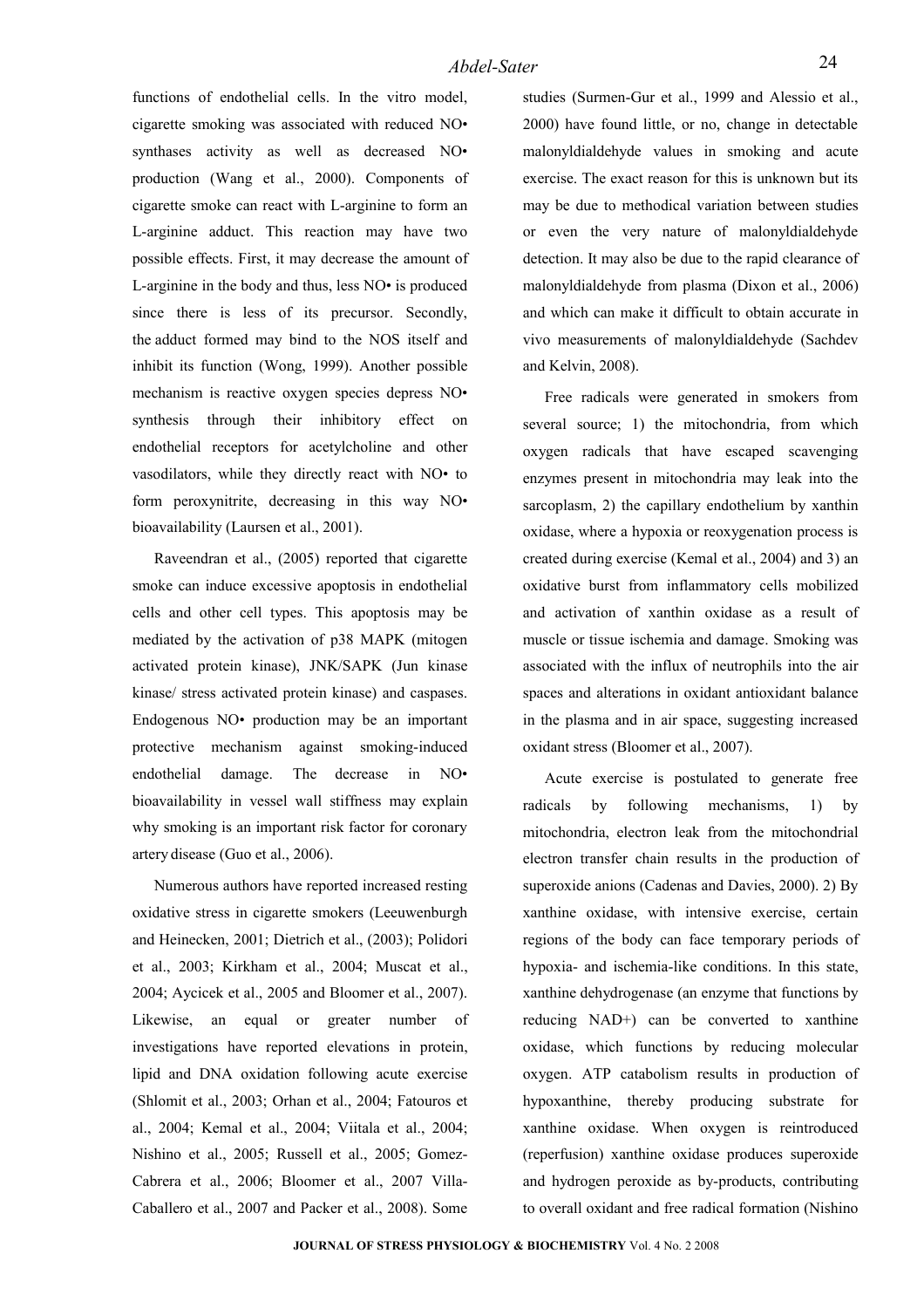functions of endothelial cells. In the vitro model, cigarette smoking was associated with reduced NO• synthases activity as well as decreased NO• production (Wang et al., 2000). Components of cigarette smoke can react with L-arginine to form an L-arginine adduct. This reaction may have two possible effects. First, it may decrease the amount of L-arginine in the body and thus, less NO• is produced since there is less of its precursor. Secondly, the adduct formed may bind to the NOS itself and inhibit its function (Wong, 1999). Another possible mechanism is reactive oxygen species depress NO• synthesis through their inhibitory effect on endothelial receptors for acetylcholine and other vasodilators, while they directly react with NO• to form peroxynitrite, decreasing in this way NO• bioavailability (Laursen et al., 2001).

Raveendran et al., (2005) reported that cigarette smoke can induce excessive apoptosis in endothelial cells and other cell types. This apoptosis may be mediated by the activation of p38 MAPK (mitogen activated protein kinase), JNK/SAPK (Jun kinase kinase/ stress activated protein kinase) and caspases. Endogenous NO• production may be an important protective mechanism against smoking-induced endothelial damage. The decrease in NO• bioavailability in vessel wall stiffness may explain why smoking is an important risk factor for coronary artery disease (Guo et al., [2006\)](http://ajpheart.physiology.org/cgi/content/full/291/5/H2354?maxtoshow=&HITS=10&hits=10&RESULTFORMAT=1&andorexacttitle=and&titleabstract=smoking++&andorexacttitleabs=and&andorexactfulltext=and&searchid=1&FIRSTINDEX=0&sortspec=relevance&fdate=7/1/1995&tdate=1/31/2007&resourcetype=HWCIT#R27).

Numerous authors have reported increased resting oxidative stress in cigarette smokers (Leeuwenburgh and Heinecken, 2001; [Dietrich e](http://www.ncbi.nlm.nih.gov/sites/entrez?Db=pubmed&Cmd=Search&Term=)t al., (2003); Polidori et al., 2003; Kirkham et al., 2004; Muscat et al., 2004; Aycicek et al., 2005 and Bloomer et al., 2007). Likewise, an equal or greater number of investigations have reported elevations in protein, lipid and DNA oxidation following acute exercise (Shlomit et al., 2003; Orhan et al., 2004; Fatouros et al., 2004; Kemal et al., 2004; Viitala et al., 2004; Nishino et al., 2005; [Russell et al., 2005;](http://luce.sunymaritime.edu:2078/science?_ob=ArticleURL&_udi=B6X1H-4PB6VRD-2&_user=696742&_coverDate=01%2F31%2F2008&_alid=688073504&_rdoc=1&_fmt=full&_orig=search&_cdi=7243&_sort=d&_docanchor=&view=c&_ct=2&_acct=C000038902&_version=1&_urlVersion=0&_userid=696742&md5=ce3c106124b7c8a8ed1e7543a6d66b82#bib89%23bib89) [Gomez-](http://luce.sunymaritime.edu:2078/science?_ob=ArticleURL&_udi=B6X1H-4PB6VRD-2&_user=696742&_coverDate=01%2F31%2F2008&_alid=688073504&_rdoc=1&_fmt=full&_orig=search&_cdi=7243&_sort=d&_docanchor=&view=c&_ct=2&_acct=C000038902&_version=1&_urlVersion=0&_userid=696742&md5=ce3c106124b7c8a8ed1e7543a6d66b82#bib31)[Cabrera et al., 2006;](http://luce.sunymaritime.edu:2078/science?_ob=ArticleURL&_udi=B6X1H-4PB6VRD-2&_user=696742&_coverDate=01%2F31%2F2008&_alid=688073504&_rdoc=1&_fmt=full&_orig=search&_cdi=7243&_sort=d&_docanchor=&view=c&_ct=2&_acct=C000038902&_version=1&_urlVersion=0&_userid=696742&md5=ce3c106124b7c8a8ed1e7543a6d66b82#bib31) Bloomer et al., 2007 Villa-Caballero et al., 2007 and Packer et al., 2008). Some

studies (Surmen-Gur et al., 1999 and Alessio et al., 2000) have found little, or no, change in detectable malonyldialdehyde values in smoking and acute exercise. The exact reason for this is unknown but its may be due to methodical variation between studies or even the very nature of malonyldialdehyde detection. It may also be due to the rapid clearance of malonyldialdehyde from plasma (Dixon et al., 2006) and which can make it difficult to obtain accurate in vivo measurements of malonyldialdehyde (Sachdev and Kelvin, 2008).

Free radicals were generated in smokers from several source; 1) the mitochondria, from which oxygen radicals that have escaped scavenging enzymes present in mitochondria may leak into the sarcoplasm, 2) the capillary endothelium by xanthin oxidase, where a hypoxia or reoxygenation process is created during exercise (Kemal et al., 2004) and 3) an oxidative burst from inflammatory cells mobilized and activation of xanthin oxidase as a result of muscle or tissue ischemia and damage. Smoking was associated with the influx of neutrophils into the air spaces and alterations in oxidant antioxidant balance in the plasma and in air space, suggesting increased oxidant stress (Bloomer et al., 2007).

Acute exercise is postulated to generate free radicals by following mechanisms, 1) by mitochondria, electron leak from the mitochondrial electron transfer chain results in the production of superoxide anions (Cadenas and Davies, 2000). 2) By xanthine oxidase, with intensive exercise, certain regions of the body can face temporary periods of hypoxia- and ischemia-like conditions. In this state, xanthine dehydrogenase (an enzyme that functions by reducing NAD+) can be converted to xanthine oxidase, which functions by reducing molecular oxygen. ATP catabolism results in production of hypoxanthine, thereby producing substrate for xanthine oxidase. When oxygen is reintroduced (reperfusion) xanthine oxidase produces superoxide and hydrogen peroxide as by-products, contributing to overall oxidant and free radical formation (Nishino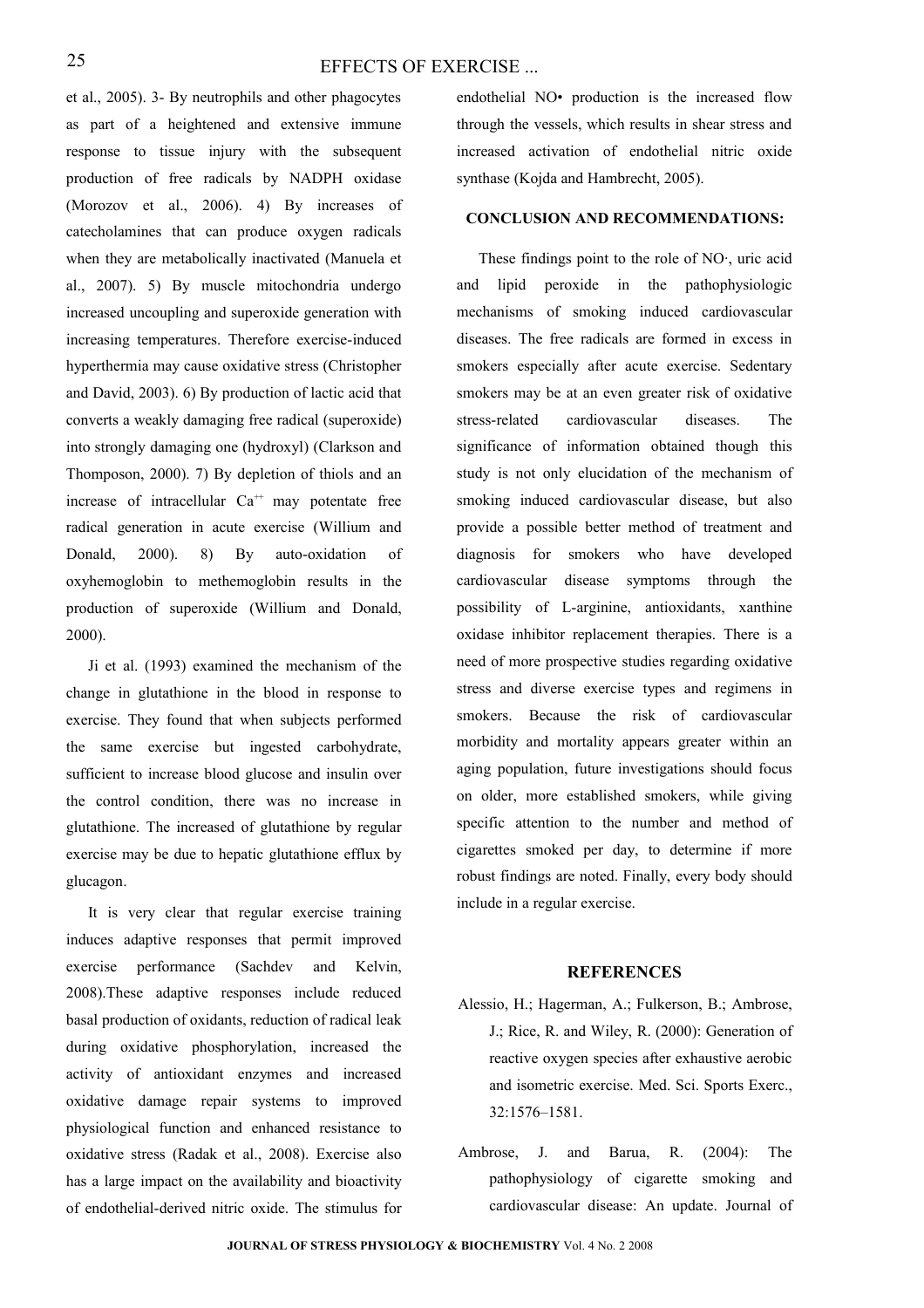#### EFFECTS OF EXERCISE ...

et al., 2005). 3- By neutrophils and other phagocytes as part of a heightened and extensive immune response to tissue injury with the subsequent production of free radicals by NADPH oxidase (Morozov et al., 2006). 4) By increases of catecholamines that can produce oxygen radicals when they are metabolically inactivated (Manuela et al., 2007). 5) By muscle mitochondria undergo increased uncoupling and superoxide generation with increasing temperatures. Therefore exercise-induced hyperthermia may cause oxidative stress (Christopher and David, 2003). 6) By production of lactic acid that converts a weakly damaging free radical (superoxide) into strongly damaging one (hydroxyl) (Clarkson and Thomposon, 2000). 7) By depletion of thiols and an increase of intracellular  $Ca^{++}$  may potentate free radical generation in acute exercise (Willium and Donald, 2000). 8) By auto-oxidation of oxyhemoglobin to methemoglobin results in the production of superoxide (Willium and Donald, 2000).

Ji et al. (1993) examined the mechanism of the change in glutathione in the blood in response to exercise. They found that when subjects performed the same exercise but ingested carbohydrate, sufficient to increase blood glucose and insulin over the control condition, there was no increase in glutathione. The increased of glutathione by regular exercise may be due to hepatic glutathione efflux by glucagon.

It is very clear that regular exercise training induces adaptive responses that permit improved exercise performance (Sachdev and Kelvin, 2008).These adaptive responses include reduced basal production of oxidants, reduction of radical leak during oxidative phosphorylation, increased the activity of antioxidant enzymes and increased oxidative damage repair systems to improved physiological function and enhanced resistance to oxidative stress [\(Radak et al., 2008\)](http://luce.sunymaritime.edu:2078/science?_ob=ArticleURL&_udi=B6X1H-4PB6VRD-2&_user=696742&_coverDate=01%2F31%2F2008&_alid=688073504&_rdoc=1&_fmt=full&_orig=search&_cdi=7243&_sort=d&_docanchor=&view=c&_ct=2&_acct=C000038902&_version=1&_urlVersion=0&_userid=696742&md5=ce3c106124b7c8a8ed1e7543a6d66b82#bib77%23bib77). Exercise also has a large impact on the availability and bioactivity of endothelial-derived nitric oxide. The stimulus for

endothelial NO• production is the increased flow through the vessels, which results in shear stress and increased activation of endothelial nitric oxide synthase (Kojda and Hambrecht, 2005).

#### **CONCLUSION AND RECOMMENDATIONS:**

These findings point to the role of NO·, uric acid and lipid peroxide in the pathophysiologic mechanisms of smoking induced cardiovascular diseases. The free radicals are formed in excess in smokers especially after acute exercise. Sedentary smokers may be at an even greater risk of oxidative stress-related cardiovascular diseases. The significance of information obtained though this study is not only elucidation of the mechanism of smoking induced cardiovascular disease, but also provide a possible better method of treatment and diagnosis for smokers who have developed cardiovascular disease symptoms through the possibility of L-arginine, antioxidants, xanthine oxidase inhibitor replacement therapies. There is a need of more prospective studies regarding oxidative stress and diverse exercise types and regimens in smokers. Because the risk of cardiovascular morbidity and mortality appears greater within an aging population, future investigations should focus on older, more established smokers, while giving specific attention to the number and method of cigarettes smoked per day, to determine if more robust findings are noted. Finally, every body should include in a regular exercise.

#### **REFERENCES**

- Alessio, H.; Hagerman, A.; Fulkerson, B.; Ambrose, J.; Rice, R. and Wiley, R. (2000): Generation of reactive oxygen species after exhaustive aerobic and isometric exercise. Med. Sci. Sports Exerc., 32:1576–1581.
- Ambrose, J. and Barua, R. (2004): The pathophysiology of cigarette smoking and cardiovascular disease: An update. Journal of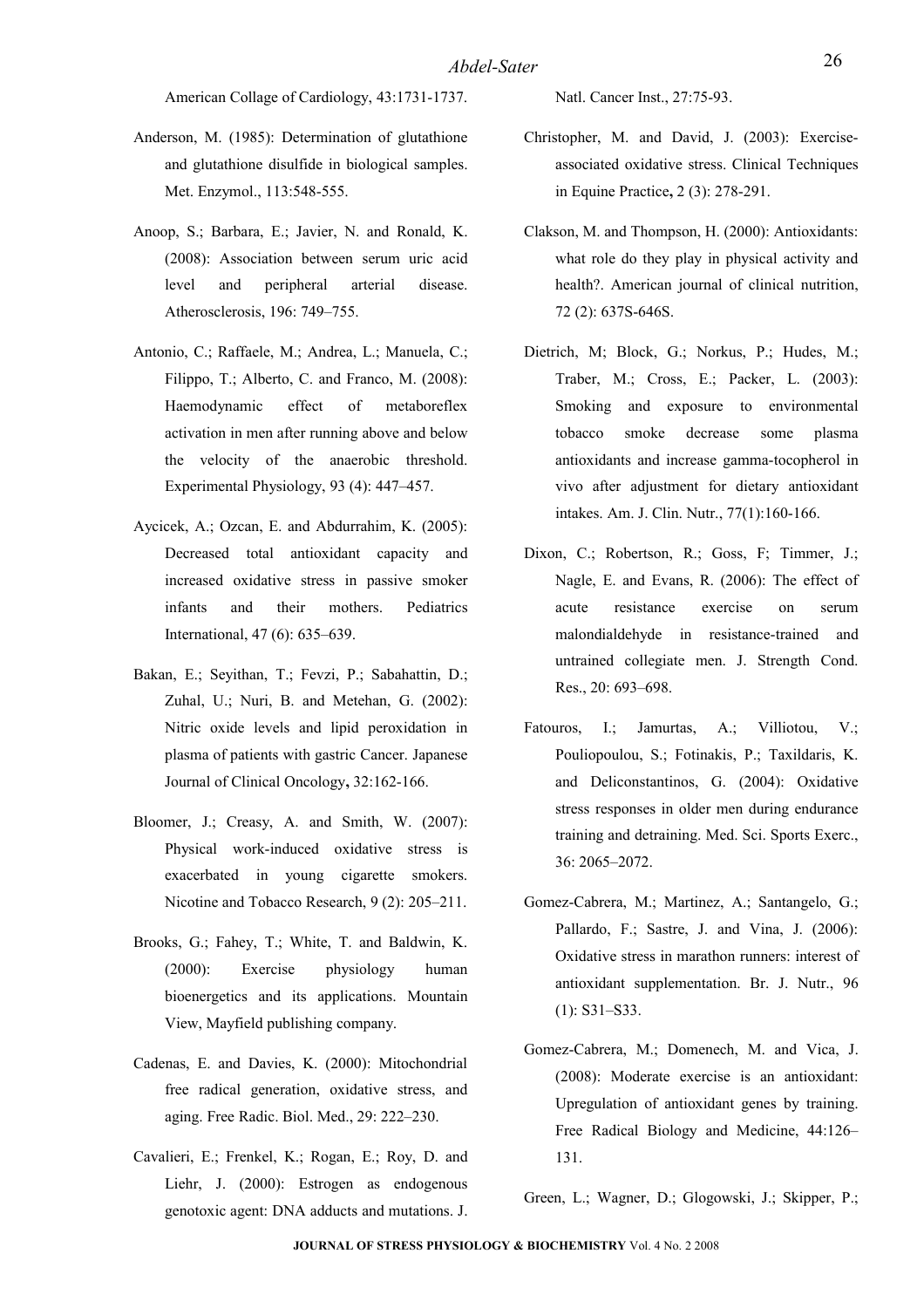American Collage of Cardiology, 43:1731-1737.

- Anderson, M. (1985): Determination of glutathione and glutathione disulfide in biological samples. Met. Enzymol., 113:548-555.
- Anoop, S.; Barbara, E.; Javier, N. and Ronald, K. (2008): Association between serum uric acid level and peripheral arterial disease. Atherosclerosis, 196: 749–755.
- Antonio, C.; Raffaele, M.; Andrea, L.; Manuela, C.; Filippo, T.; Alberto, C. and Franco, M. (2008): Haemodynamic effect of metaboreflex activation in men after running above and below the velocity of the anaerobic threshold. Experimental Physiology, 93 (4): 447–457.
- Aycicek, A.; Ozcan, E. and Abdurrahim, K. (2005): Decreased total antioxidant capacity and increased oxidative stress in passive smoker infants and their mothers. Pediatrics International, 47 (6): 635–639.
- Bakan, E.; Seyithan, T.; Fevzi, P.; Sabahattin, D.; Zuhal, U.; Nuri, B. and Metehan, G. (2002): Nitric oxide levels and lipid peroxidation in plasma of patients with gastric Cancer. Japanese Journal of Clinical Oncology**,** 32:162-166.
- Bloomer, J.; Creasy, A. and Smith, W. (2007): Physical work-induced oxidative stress is exacerbated in young cigarette smokers. Nicotine and Tobacco Research, 9 (2): 205–211.
- Brooks, G.; Fahey, T.; White, T. and Baldwin, K. (2000): Exercise physiology human bioenergetics and its applications. Mountain View, Mayfield publishing company.
- Cadenas, E. and Davies, K. (2000): Mitochondrial free radical generation, oxidative stress, and aging. Free Radic. Biol. Med., 29: 222–230.
- Cavalieri, E.; Frenkel, K.; Rogan, E.; Roy, D. and Liehr, J. (2000): Estrogen as endogenous genotoxic agent: DNA adducts and mutations. J.

Natl. Cancer Inst., 27:75-93.

- Christopher, M. and David, J. (2003): Exerciseassociated oxidative stress. [Clinical Techniques](http://luce.sunymaritime.edu:2078/science/journal/15347516) [in Equine Practice](http://luce.sunymaritime.edu:2078/science/journal/15347516)**,** 2 (3): 278-291.
- Clakson, M. and Thompson, H. (2000): Antioxidants: what role do they play in physical activity and health?. American journal of clinical nutrition, 72 (2): 637S-646S.
- [Dietrich, M; Block, G.](http://www.ncbi.nlm.nih.gov/sites/entrez?Db=pubmed&Cmd=Search&Term=); [Norkus, P.](http://www.ncbi.nlm.nih.gov/sites/entrez?Db=pubmed&Cmd=Search&Term=); [Hudes, M.](http://www.ncbi.nlm.nih.gov/sites/entrez?Db=pubmed&Cmd=Search&Term=); [Traber, M.](http://www.ncbi.nlm.nih.gov/sites/entrez?Db=pubmed&Cmd=Search&Term=); [Cross, E.](http://www.ncbi.nlm.nih.gov/sites/entrez?Db=pubmed&Cmd=Search&Term=); Packer, L. (2003): Smoking and exposure to environmental tobacco smoke decrease some plasma antioxidants and increase gamma-tocopherol in vivo after adjustment for dietary antioxidant intakes. [Am. J. Clin. Nutr.,](javascript:AL_get(this,%20) 77(1):160-166.
- Dixon, C.; Robertson, R.; Goss, F; Timmer, J.; Nagle, E. and Evans, R. (2006): The effect of acute resistance exercise on serum malondialdehyde in resistance-trained and untrained collegiate men. J. Strength Cond. Res., 20: 693–698.
- Fatouros, I.: Jamurtas, A.: Villiotou, V.: Pouliopoulou, S.; Fotinakis, P.; Taxildaris, K. and Deliconstantinos, G. (2004): Oxidative stress responses in older men during endurance training and detraining. Med. Sci. Sports Exerc., 36: 2065–2072.
- Gomez-Cabrera, M.; Martinez, A.; Santangelo, G.; Pallardo, F.; Sastre, J. and Vina, J. (2006): Oxidative stress in marathon runners: interest of antioxidant supplementation. Br. J. Nutr., 96 (1): S31–S33.
- Gomez-Cabrera, M.; Domenech, M. and Viсa, J. (2008): Moderate exercise is an antioxidant: Upregulation of antioxidant genes by training. Free Radical Biology and Medicine, 44:126– 131.

Green, L.; Wagner, D.; Glogowski, J.; Skipper, P.;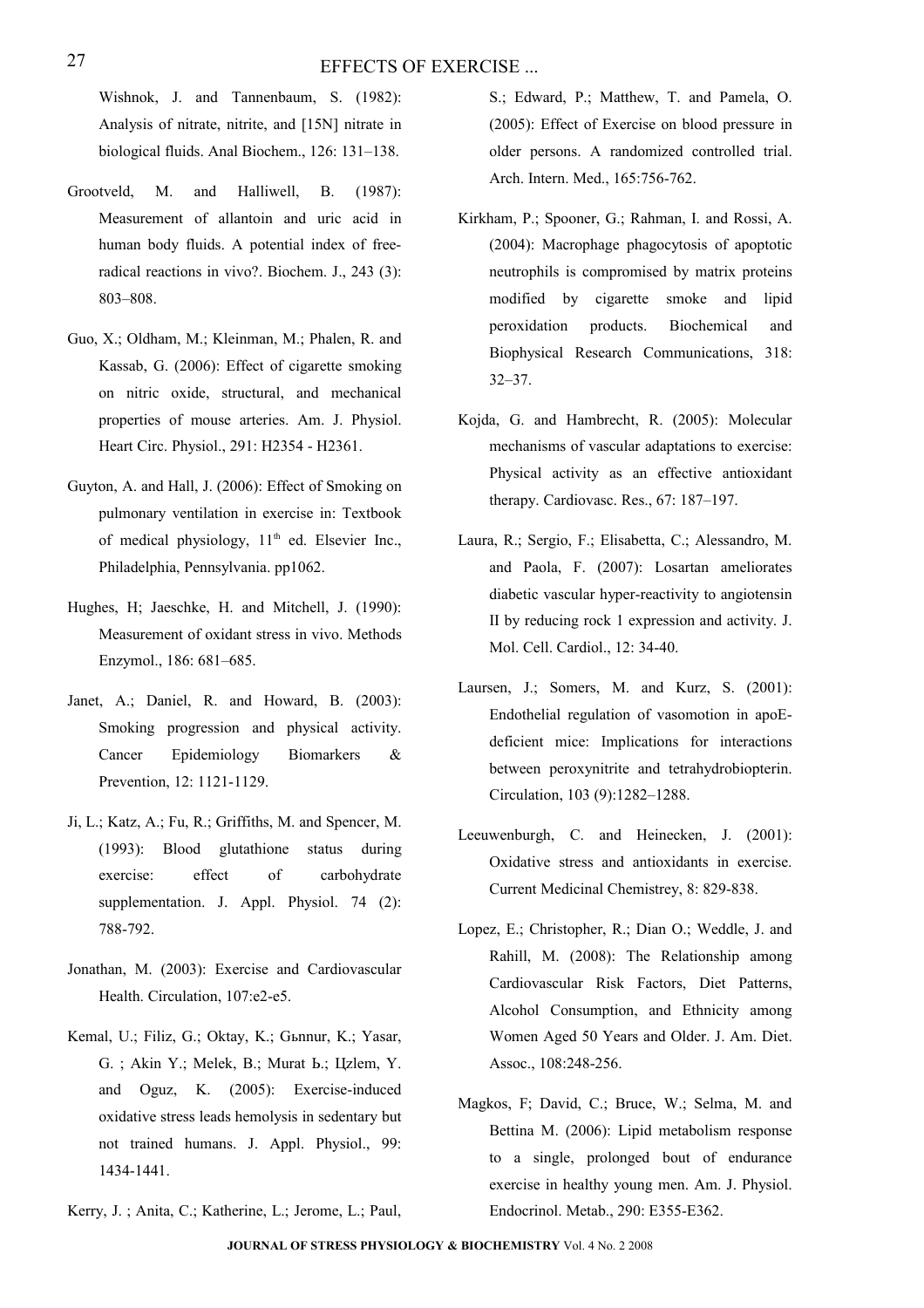Wishnok, J. and Tannenbaum, S. (1982): Analysis of nitrate, nitrite, and [15N] nitrate in biological fluids. Anal Biochem., 126: 131–138.

- Grootveld, M. and Halliwell, B. (1987): Measurement of allantoin and uric acid in human body fluids. A potential index of freeradical reactions in vivo?. Biochem. J., 243 (3): 803–808.
- Guo, X.; Oldham, M.; Kleinman, M.; Phalen, R. and Kassab, G. (2006): Effect of cigarette smoking on nitric oxide, structural, and mechanical properties of mouse arteries. Am. J. Physiol. Heart Circ. Physiol., 291: H2354 - H2361.
- Guyton, A. and Hall, J. (2006): Effect of Smoking on pulmonary ventilation in exercise in: Textbook of medical physiology,  $11<sup>th</sup>$  ed. Elsevier Inc., Philadelphia, Pennsylvania. pp1062.
- Hughes, H; Jaeschke, H. and Mitchell, J. (1990): Measurement of oxidant stress in vivo. Methods Enzymol., 186: 681–685.
- Janet, A.; Daniel, R. and Howard, B. (2003): Smoking progression and physical activity. Cancer Epidemiology Biomarkers & Prevention, 12: 1121-1129.
- Ji, L.; Katz, A.; Fu, R.; Griffiths, M. and Spencer, M. (1993): Blood glutathione status during exercise: effect of carbohydrate supplementation. J. Appl. Physiol. 74 (2): 788-792.
- Jonathan, M. (2003): Exercise and Cardiovascular Health. Circulation, 107:e2-e5.
- Kemal, U.; Filiz, G.; Oktay, K.; Gьnnur, K.; Yasar, G. ; Akin Y.; Melek, B.; Murat Ь.; Цzlem, Y. and Oguz, K. (2005): Exercise-induced oxidative stress leads hemolysis in sedentary but not trained humans. J. Appl. Physiol., 99: 1434-1441.

[Kerry, J. ; Anita, C.; Katherine, L.; Jerome, L.; Paul,](http://archinte.ama-assn.org/cgi/content/full/165/7/756?maxtoshow=&HITS=10&hits=10&RESULTFORMAT=&searchid=1&FIRSTINDEX=0&minscore=50&resourcetype=HWCIT#AUTHINFO)

[S.; Edward, P.; Matthew, T. and Pamela, O.](http://archinte.ama-assn.org/cgi/content/full/165/7/756?maxtoshow=&HITS=10&hits=10&RESULTFORMAT=&searchid=1&FIRSTINDEX=0&minscore=50&resourcetype=HWCIT#AUTHINFO) (2005): Effect of Exercise on blood pressure in older persons. A randomized controlled trial. Arch. Intern. Med., 165:756-762.

- Kirkham, P.; Spooner, G.; Rahman, I. and Rossi, A. (2004): Macrophage phagocytosis of apoptotic neutrophils is compromised by matrix proteins modified by cigarette smoke and lipid peroxidation products. Biochemical and Biophysical Research Communications, 318: 32–37.
- Kojda, G. and Hambrecht, R. (2005): Molecular mechanisms of vascular adaptations to exercise: Physical activity as an effective antioxidant therapy. Cardiovasc. Res., 67: 187–197.
- Laura, R.; Sergio, F.; Elisabetta, C.; Alessandro, M. and Paola, F. (2007): Losartan ameliorates diabetic vascular hyper-reactivity to angiotensin II by reducing rock 1 expression and activity. J. Mol. Cell. Cardiol., 12: 34-40.
- Laursen, J.; Somers, M. and Kurz, S. (2001): Endothelial regulation of vasomotion in apoEdeficient mice: Implications for interactions between peroxynitrite and tetrahydrobiopterin. Circulation, 103 (9):1282–1288.
- Leeuwenburgh, C. and Heinecken, J. (2001): Oxidative stress and antioxidants in exercise. Current Medicinal Chemistrey, 8: 829-838.
- Lopez, E.; Christopher, R.; Dian O.; Weddle, J. and Rahill, M. (2008): The Relationship among Cardiovascular Risk Factors, Diet Patterns, Alcohol Consumption, and Ethnicity among Women Aged 50 Years and Older. J. Am. Diet. Assoc., 108:248-256.
- Magkos, F; David, C.; Bruce, W.; Selma, M. and Bettina M. (2006): Lipid metabolism response to a single, prolonged bout of endurance exercise in healthy young men. Am. J. Physiol. Endocrinol. Metab., 290: E355-E362.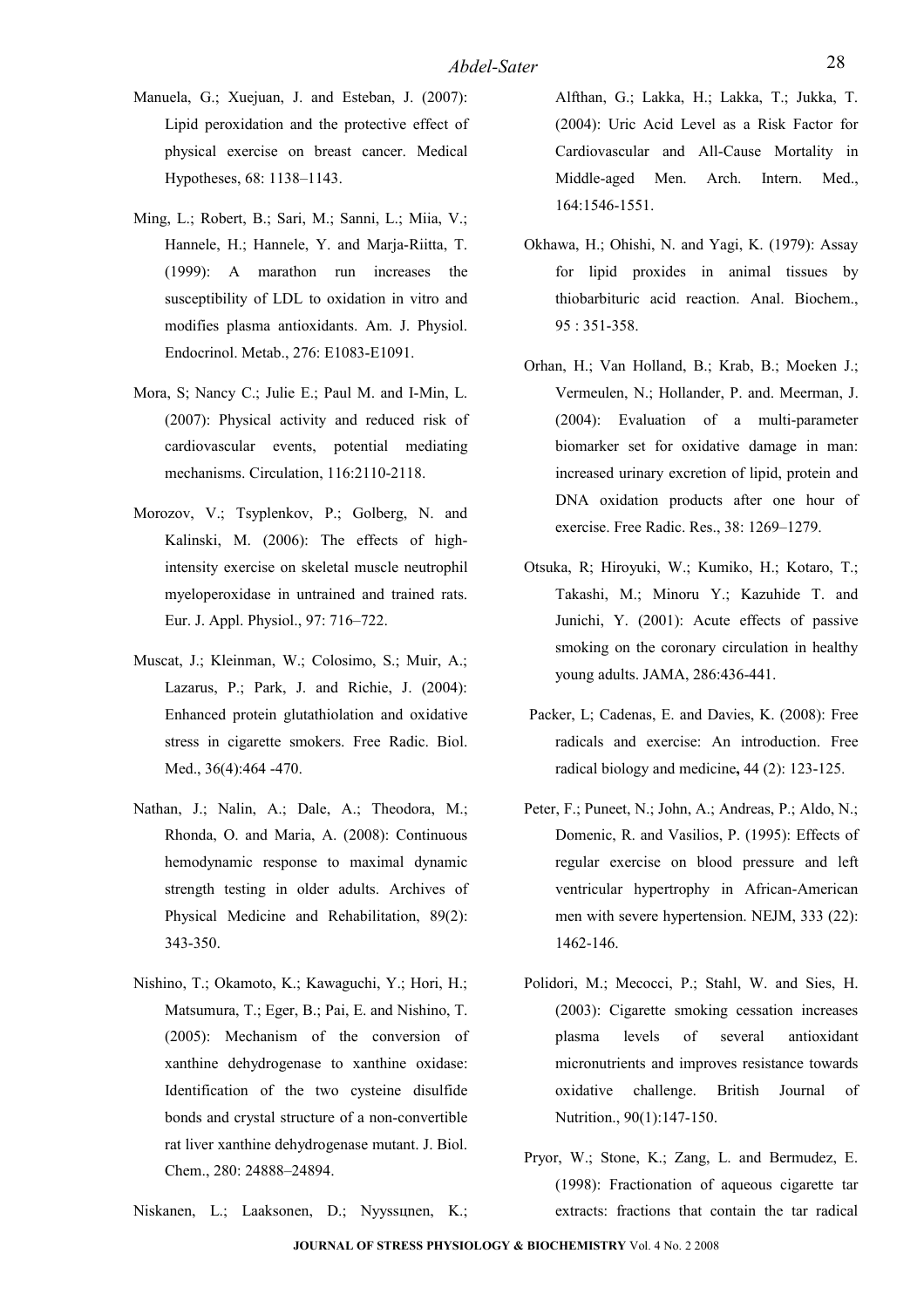- Manuela, G.; Xuejuan, J. and Esteban, J. (2007): Lipid peroxidation and the protective effect of physical exercise on breast cancer. Medical Hypotheses, 68: 1138–1143.
- Ming, L.; Robert, B.; Sari, M.; Sanni, L.; Miia, V.; Hannele, H.; Hannele, Y. and Marja-Riitta, T. (1999): A marathon run increases the susceptibility of LDL to oxidation in vitro and modifies plasma antioxidants. Am. J. Physiol. Endocrinol. Metab., 276: E1083-E1091.
- Mora, S; Nancy C.; Julie E.; Paul M. and I-Min, L. (2007): Physical activity and reduced risk of cardiovascular events, potential mediating mechanisms. Circulation, 116:2110-2118.
- Morozov, V.; Tsyplenkov, P.; Golberg, N. and Kalinski, M. (2006): The effects of highintensity exercise on skeletal muscle neutrophil myeloperoxidase in untrained and trained rats. Eur. J. Appl. Physiol., 97: 716–722.
- Muscat, J.; Kleinman, W.; Colosimo, S.; Muir, A.; Lazarus, P.; Park, J. and Richie, J. (2004): Enhanced protein glutathiolation and oxidative stress in cigarette smokers. Free Radic. Biol. Med., 36(4):464 -470.
- Nathan, J.; Nalin, A.; Dale, A.; Theodora, M.; Rhonda, O. and Maria, A. (2008): Continuous hemodynamic response to maximal dynamic strength testing in older adults. [Archives of](http://luce.sunymaritime.edu:2078/science/journal/00039993) [Physical Medicine and Rehabilitation,](http://luce.sunymaritime.edu:2078/science/journal/00039993) [89\(2\)](http://luce.sunymaritime.edu:2078/science?_ob=PublicationURL&_tockey=%23TOC%236702%232008%23999109997%23679079%23FLA%23&_cdi=6702&_pubType=J&_auth=y&_acct=C000038902&_version=1&_urlVersion=0&_userid=696742&md5=506f225a5dcd5c51aa6406bd1a0614a6): 343-350.
- Nishino, T.; Okamoto, K.; Kawaguchi, Y.; Hori, H.; Matsumura, T.; Eger, B.; Pai, E. and Nishino, T. (2005): Mechanism of the conversion of xanthine dehydrogenase to xanthine oxidase: Identification of the two cysteine disulfide bonds and crystal structure of a non-convertible rat liver xanthine dehydrogenase mutant. J. Biol. Chem., 280: 24888–24894.

[Niskanen, L.; Laaksonen, D.; Nyyssцnen, K.;](http://archinte.ama-assn.org/cgi/content/full/164/14/1546?maxtoshow=&HITS=10&hits=10&RESULTFORMAT=&searchid=1&FIRSTINDEX=20&minscore=50&resourcetype=HWCIT#ACK)

[Alfthan, G.; Lakka, H.; Lakka, T.; Jukka, T.](http://archinte.ama-assn.org/cgi/content/full/164/14/1546?maxtoshow=&HITS=10&hits=10&RESULTFORMAT=&searchid=1&FIRSTINDEX=20&minscore=50&resourcetype=HWCIT#ACK) [\(](http://archinte.ama-assn.org/cgi/content/full/164/14/1546?maxtoshow=&HITS=10&hits=10&RESULTFORMAT=&searchid=1&FIRSTINDEX=20&minscore=50&resourcetype=HWCIT#ACK)2004): Uric Acid Level as a Risk Factor for Cardiovascular and All-Cause Mortality in Middle-aged Men. Arch. Intern. Med., 164:1546-1551.

- Okhawa, H.; Ohishi, N. and Yagi, K. (1979): Assay for lipid proxides in animal tissues by thiobarbituric acid reaction. Anal. Biochem., 95 : 351-358.
- Orhan, H.; Van Holland, B.; Krab, B.; Moeken J.; Vermeulen, N.; Hollander, P. and. Meerman, J. (2004): Evaluation of a multi-parameter biomarker set for oxidative damage in man: increased urinary excretion of lipid, protein and DNA oxidation products after one hour of exercise. Free Radic. Res., 38: 1269–1279.
- Otsuka, R; Hiroyuki, W.; Kumiko, H.; Kotaro, T.; Takashi, M.; Minoru Y.; Kazuhide T. and Junichi, Y. (2001): Acute effects of passive smoking on the coronary circulation in healthy young adults. JAMA, 286:436-441.
- Packer, L; Cadenas, E. and Davies, K. (2008): Free radicals and exercise: An introduction. [Free](http://luce.sunymaritime.edu:2078/science/journal/08915849) [radical biology and medicine](http://luce.sunymaritime.edu:2078/science/journal/08915849)**,** [44 \(2\)](http://luce.sunymaritime.edu:2078/science?_ob=PublicationURL&_tockey=%23TOC%234940%232008%23999559997%23678411%23FLA%23&_cdi=4940&_pubType=J&_auth=y&_acct=C000038902&_version=1&_urlVersion=0&_userid=696742&md5=2c92636c34c9366d602b96148c954e46): 123-125.
- Peter, F.; Puneet, N.; John, A.; Andreas, P.; Aldo, N.; Domenic, R. and Vasilios, P. (1995): Effects of regular exercise on blood pressure and left ventricular hypertrophy in African-American men with severe hypertension. NEJM, 333 (22): 1462-146.
- Polidori, M.; Mecocci, P.; Stahl, W. and Sies, H. (2003): Cigarette smoking cessation increases plasma levels of several antioxidant micronutrients and improves resistance towards oxidative challenge. British Journal of Nutrition., 90(1):147-150.
- Pryor, W.; Stone, K.; Zang, L. and Bermudez, E. (1998): Fractionation of aqueous cigarette tar extracts: fractions that contain the tar radical